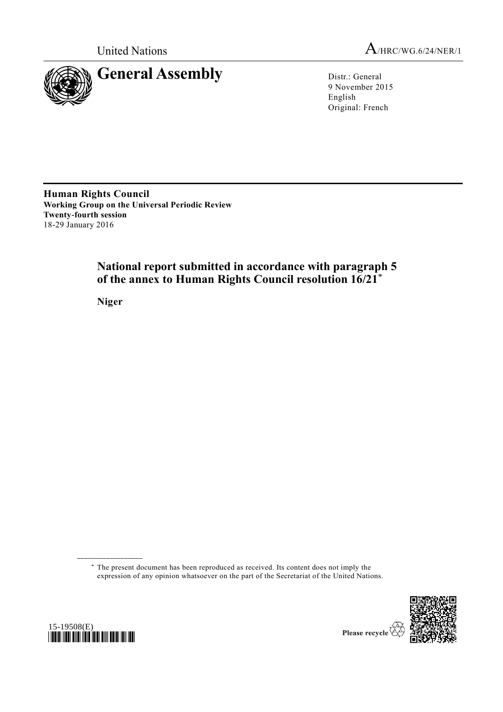



9 November 2015 English Original: French

**Human Rights Council Working Group on the Universal Periodic Review Twenty-fourth session** 18-29 January 2016

# **National report submitted in accordance with paragraph 5 of the annex to Human Rights Council resolution 16/21**\*

**Niger**

\* The present document has been reproduced as received. Its content does not imply the expression of any opinion whatsoever on the part of the Secretariat of the United Nations.





**\_\_\_\_\_\_\_\_\_\_\_\_\_\_\_\_\_\_**

Please recycle V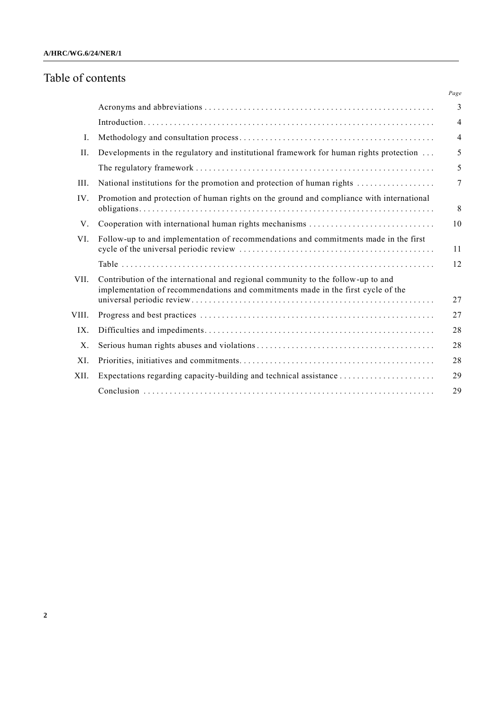# Table of contents

|       |                                                                                                                                                                      | Page           |
|-------|----------------------------------------------------------------------------------------------------------------------------------------------------------------------|----------------|
|       |                                                                                                                                                                      | 3              |
|       |                                                                                                                                                                      | $\overline{4}$ |
| I.    |                                                                                                                                                                      | $\overline{4}$ |
| II.   | Developments in the regulatory and institutional framework for human rights protection                                                                               | 5              |
|       |                                                                                                                                                                      | 5              |
| III.  | National institutions for the promotion and protection of human rights                                                                                               | 7              |
| IV.   | Promotion and protection of human rights on the ground and compliance with international                                                                             | 8              |
| V.    |                                                                                                                                                                      | 10             |
| VI.   | Follow-up to and implementation of recommendations and commitments made in the first                                                                                 | 11             |
|       |                                                                                                                                                                      | 12             |
| VII.  | Contribution of the international and regional community to the follow-up to and<br>implementation of recommendations and commitments made in the first cycle of the | 27             |
| VIII. |                                                                                                                                                                      | 27             |
| IX.   |                                                                                                                                                                      | 28             |
| X.    |                                                                                                                                                                      | 28             |
| XI.   |                                                                                                                                                                      | 28             |
| XII.  |                                                                                                                                                                      | 29             |
|       |                                                                                                                                                                      | 29             |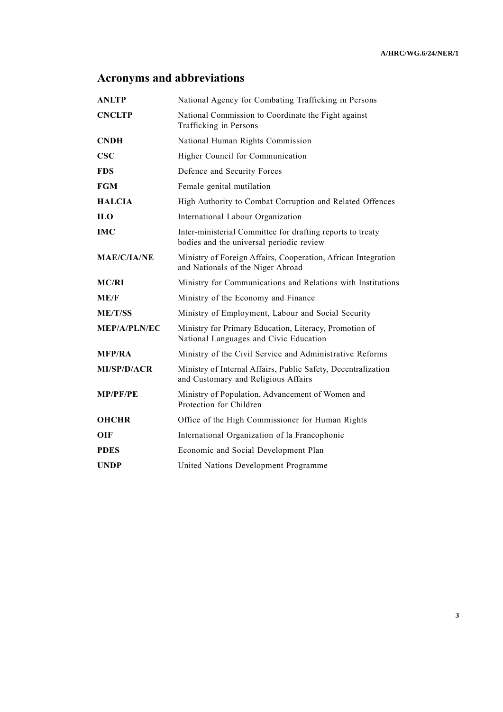# **Acronyms and abbreviations**

| <b>ANLTP</b>            | National Agency for Combating Trafficking in Persons                                                   |
|-------------------------|--------------------------------------------------------------------------------------------------------|
| <b>CNCLTP</b>           | National Commission to Coordinate the Fight against<br>Trafficking in Persons                          |
| <b>CNDH</b>             | National Human Rights Commission                                                                       |
| CSC                     | Higher Council for Communication                                                                       |
| <b>FDS</b>              | Defence and Security Forces                                                                            |
| <b>FGM</b>              | Female genital mutilation                                                                              |
| <b>HALCIA</b>           | High Authority to Combat Corruption and Related Offences                                               |
| $\mathbf{H} \mathbf{O}$ | International Labour Organization                                                                      |
| <b>IMC</b>              | Inter-ministerial Committee for drafting reports to treaty<br>bodies and the universal periodic review |
| <b>MAE/C/IA/NE</b>      | Ministry of Foreign Affairs, Cooperation, African Integration<br>and Nationals of the Niger Abroad     |
| <b>MC/RI</b>            | Ministry for Communications and Relations with Institutions                                            |
| ME/F                    | Ministry of the Economy and Finance                                                                    |
| <b>ME/T/SS</b>          | Ministry of Employment, Labour and Social Security                                                     |
| <b>MEP/A/PLN/EC</b>     | Ministry for Primary Education, Literacy, Promotion of<br>National Languages and Civic Education       |
| <b>MFP/RA</b>           | Ministry of the Civil Service and Administrative Reforms                                               |
| MI/SP/D/ACR             | Ministry of Internal Affairs, Public Safety, Decentralization<br>and Customary and Religious Affairs   |
| <b>MP/PF/PE</b>         | Ministry of Population, Advancement of Women and<br>Protection for Children                            |
| <b>OHCHR</b>            | Office of the High Commissioner for Human Rights                                                       |
| <b>OIF</b>              | International Organization of la Francophonie                                                          |
| <b>PDES</b>             | Economic and Social Development Plan                                                                   |
| <b>UNDP</b>             | United Nations Development Programme                                                                   |
|                         |                                                                                                        |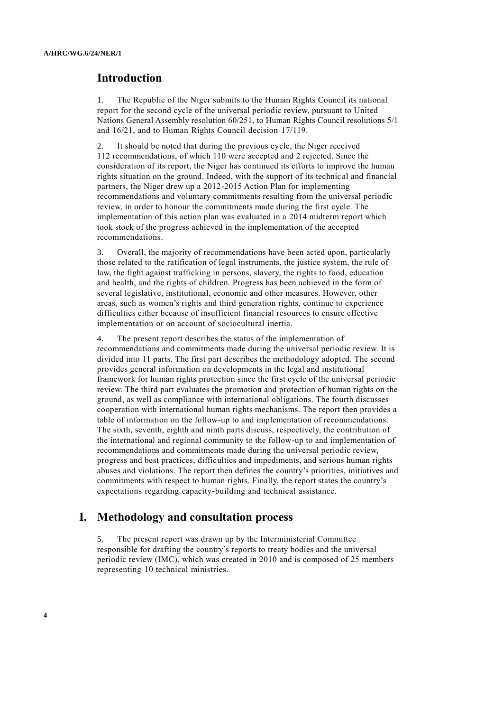### **Introduction**

1. The Republic of the Niger submits to the Human Rights Council its national report for the second cycle of the universal periodic review, pursuant to United Nations General Assembly resolution 60/251, to Human Rights Council resolutions 5/1 and 16/21, and to Human Rights Council decision 17/119.

2. It should be noted that during the previous cycle, the Niger received 112 recommendations, of which 110 were accepted and 2 rejected. Since the consideration of its report, the Niger has continued its efforts to improve the human rights situation on the ground. Indeed, with the support of its technical and financial partners, the Niger drew up a 2012-2015 Action Plan for implementing recommendations and voluntary commitments resulting from the universal periodic review, in order to honour the commitments made during the first cycle. The implementation of this action plan was evaluated in a 2014 midterm report which took stock of the progress achieved in the implementation of the accepted recommendations.

3. Overall, the majority of recommendations have been acted upon, particularly those related to the ratification of legal instruments, the justice system, the rule of law, the fight against trafficking in persons, slavery, the rights to food, education and health, and the rights of children. Progress has been achieved in the form of several legislative, institutional, economic and other measures. However, other areas, such as women's rights and third generation rights, continue to experience difficulties either because of insufficient financial resources to ensure effective implementation or on account of sociocultural inertia.

4. The present report describes the status of the implementation of recommendations and commitments made during the universal periodic review. It is divided into 11 parts. The first part describes the methodology adopted. The second provides general information on developments in the legal and institutional framework for human rights protection since the first cycle of the universal periodic review. The third part evaluates the promotion and protection of human rights on the ground, as well as compliance with international obligations. The fourth discusses cooperation with international human rights mechanisms. The report then provides a table of information on the follow-up to and implementation of recommendations. The sixth, seventh, eighth and ninth parts discuss, respectively, the contribution of the international and regional community to the follow-up to and implementation of recommendations and commitments made during the universal periodic review, progress and best practices, difficulties and impediments, and serious human rights abuses and violations. The report then defines the country's priorities, initiatives and commitments with respect to human rights. Finally, the report states the country's expectations regarding capacity-building and technical assistance.

#### **I. Methodology and consultation process**

5. The present report was drawn up by the Interministerial Committee responsible for drafting the country's reports to treaty bodies and the universal periodic review (IMC), which was created in 2010 and is composed of 25 members representing 10 technical ministries.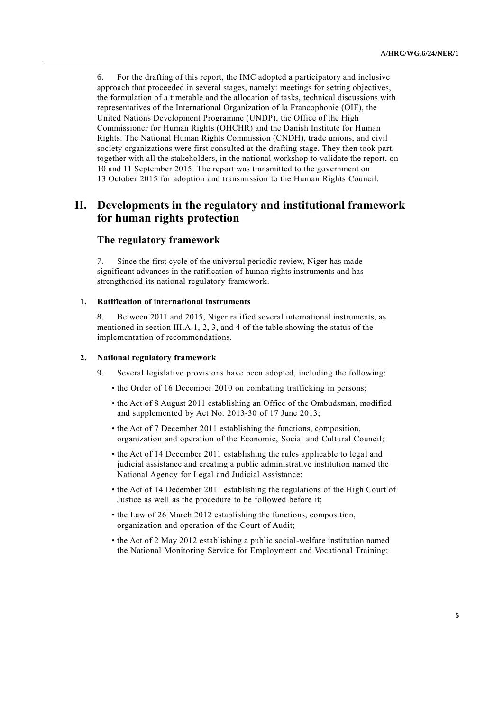6. For the drafting of this report, the IMC adopted a participatory and inclusive approach that proceeded in several stages, namely: meetings for setting objectives, the formulation of a timetable and the allocation of tasks, technical discussions with representatives of the International Organization of la Francophonie (OIF), the United Nations Development Programme (UNDP), the Office of the High Commissioner for Human Rights (OHCHR) and the Danish Institute for Human Rights. The National Human Rights Commission (CNDH), trade unions, and civil society organizations were first consulted at the drafting stage. They then took part, together with all the stakeholders, in the national workshop to validate the report, on 10 and 11 September 2015. The report was transmitted to the government on 13 October 2015 for adoption and transmission to the Human Rights Council.

## **II. Developments in the regulatory and institutional framework for human rights protection**

#### **The regulatory framework**

7. Since the first cycle of the universal periodic review, Niger has made significant advances in the ratification of human rights instruments and has strengthened its national regulatory framework.

#### **1. Ratification of international instruments**

8. Between 2011 and 2015, Niger ratified several international instruments, as mentioned in section III.A.1, 2, 3, and 4 of the table showing the status of the implementation of recommendations.

#### **2. National regulatory framework**

- 9. Several legislative provisions have been adopted, including the following:
	- the Order of 16 December 2010 on combating trafficking in persons;
	- the Act of 8 August 2011 establishing an Office of the Ombudsman, modified and supplemented by Act No. 2013-30 of 17 June 2013;
	- the Act of 7 December 2011 establishing the functions, composition, organization and operation of the Economic, Social and Cultural Council;
	- the Act of 14 December 2011 establishing the rules applicable to legal and judicial assistance and creating a public administrative institution named the National Agency for Legal and Judicial Assistance;
	- the Act of 14 December 2011 establishing the regulations of the High Court of Justice as well as the procedure to be followed before it;
	- the Law of 26 March 2012 establishing the functions, composition, organization and operation of the Court of Audit;
	- the Act of 2 May 2012 establishing a public social-welfare institution named the National Monitoring Service for Employment and Vocational Training;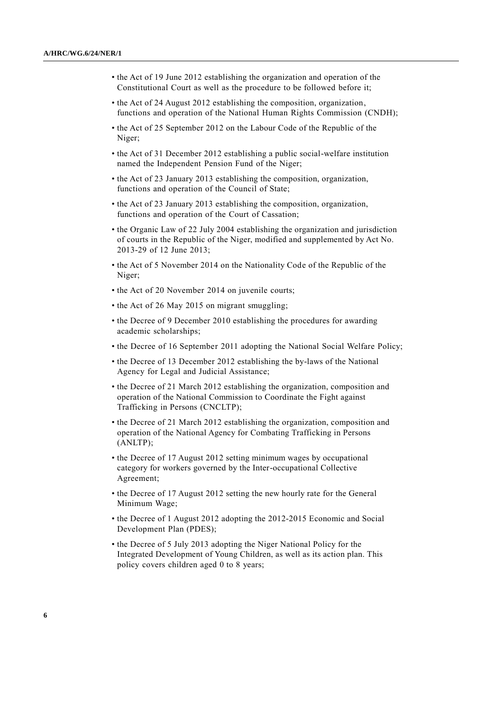- the Act of 19 June 2012 establishing the organization and operation of the Constitutional Court as well as the procedure to be followed before it;
- the Act of 24 August 2012 establishing the composition, organization, functions and operation of the National Human Rights Commission (CNDH);
- the Act of 25 September 2012 on the Labour Code of the Republic of the Niger;
- the Act of 31 December 2012 establishing a public social-welfare institution named the Independent Pension Fund of the Niger;
- the Act of 23 January 2013 establishing the composition, organization, functions and operation of the Council of State;
- the Act of 23 January 2013 establishing the composition, organization, functions and operation of the Court of Cassation;
- the Organic Law of 22 July 2004 establishing the organization and jurisdiction of courts in the Republic of the Niger, modified and supplemented by Act No. 2013-29 of 12 June 2013;
- the Act of 5 November 2014 on the Nationality Code of the Republic of the Niger;
- the Act of 20 November 2014 on juvenile courts;
- the Act of 26 May 2015 on migrant smuggling;
- the Decree of 9 December 2010 establishing the procedures for awarding academic scholarships;
- the Decree of 16 September 2011 adopting the National Social Welfare Policy;
- the Decree of 13 December 2012 establishing the by-laws of the National Agency for Legal and Judicial Assistance;
- the Decree of 21 March 2012 establishing the organization, composition and operation of the National Commission to Coordinate the Fight against Trafficking in Persons (CNCLTP);
- the Decree of 21 March 2012 establishing the organization, composition and operation of the National Agency for Combating Trafficking in Persons (ANLTP);
- the Decree of 17 August 2012 setting minimum wages by occupational category for workers governed by the Inter-occupational Collective Agreement;
- the Decree of 17 August 2012 setting the new hourly rate for the General Minimum Wage;
- the Decree of 1 August 2012 adopting the 2012-2015 Economic and Social Development Plan (PDES);
- the Decree of 5 July 2013 adopting the Niger National Policy for the Integrated Development of Young Children, as well as its action plan. This policy covers children aged 0 to 8 years;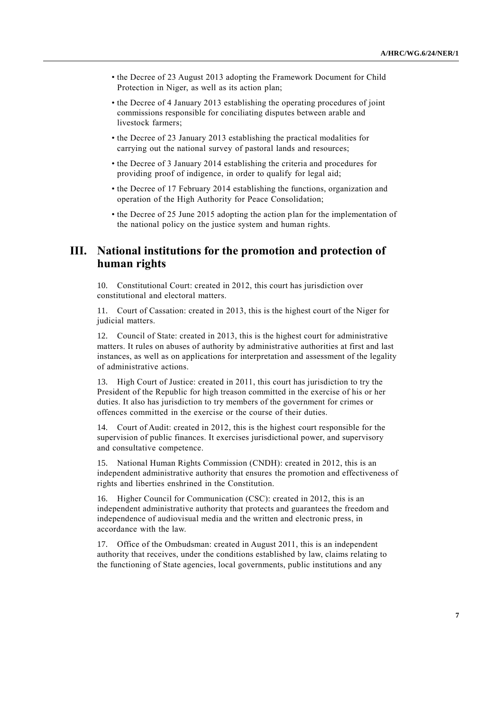- the Decree of 23 August 2013 adopting the Framework Document for Child Protection in Niger, as well as its action plan;
- the Decree of 4 January 2013 establishing the operating procedures of joint commissions responsible for conciliating disputes between arable and livestock farmers;
- the Decree of 23 January 2013 establishing the practical modalities for carrying out the national survey of pastoral lands and resources;
- the Decree of 3 January 2014 establishing the criteria and procedures for providing proof of indigence, in order to qualify for legal aid;
- the Decree of 17 February 2014 establishing the functions, organization and operation of the High Authority for Peace Consolidation;
- the Decree of 25 June 2015 adopting the action plan for the implementation of the national policy on the justice system and human rights.

## **III. National institutions for the promotion and protection of human rights**

10. Constitutional Court: created in 2012, this court has jurisdiction over constitutional and electoral matters.

11. Court of Cassation: created in 2013, this is the highest court of the Niger for judicial matters.

12. Council of State: created in 2013, this is the highest court for administrative matters. It rules on abuses of authority by administrative authorities at first and last instances, as well as on applications for interpretation and assessment of the legality of administrative actions.

13. High Court of Justice: created in 2011, this court has jurisdiction to try the President of the Republic for high treason committed in the exercise of his or her duties. It also has jurisdiction to try members of the government for crimes or offences committed in the exercise or the course of their duties.

14. Court of Audit: created in 2012, this is the highest court responsible for the supervision of public finances. It exercises jurisdictional power, and supervisory and consultative competence.

15. National Human Rights Commission (CNDH): created in 2012, this is an independent administrative authority that ensures the promotion and effectiveness of rights and liberties enshrined in the Constitution.

16. Higher Council for Communication (CSC): created in 2012, this is an independent administrative authority that protects and guarantees the freedom and independence of audiovisual media and the written and electronic press, in accordance with the law.

17. Office of the Ombudsman: created in August 2011, this is an independent authority that receives, under the conditions established by law, claims relating to the functioning of State agencies, local governments, public institutions and any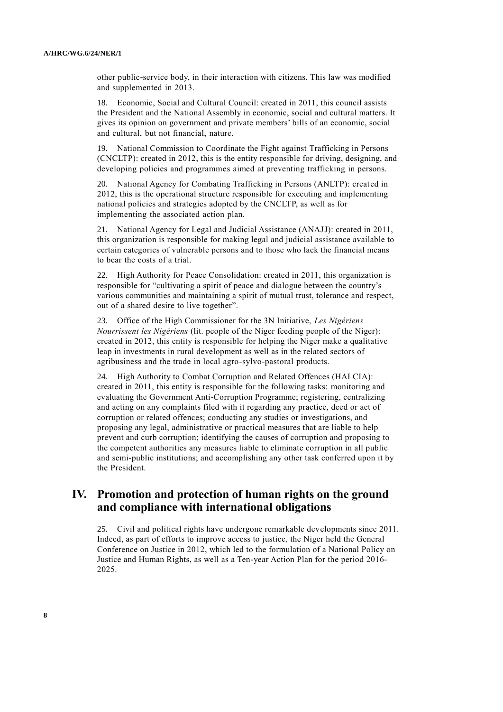other public-service body, in their interaction with citizens. This law was modified and supplemented in 2013.

18. Economic, Social and Cultural Council: created in 2011, this council assists the President and the National Assembly in economic, social and cultural matters. It gives its opinion on government and private members' bills of an economic, social and cultural, but not financial, nature.

19. National Commission to Coordinate the Fight against Trafficking in Persons (CNCLTP): created in 2012, this is the entity responsible for driving, designing, and developing policies and programmes aimed at preventing trafficking in persons.

20. National Agency for Combating Trafficking in Persons (ANLTP): created in 2012, this is the operational structure responsible for executing and implementing national policies and strategies adopted by the CNCLTP, as well as for implementing the associated action plan.

21. National Agency for Legal and Judicial Assistance (ANAJJ): created in 2011, this organization is responsible for making legal and judicial assistance available to certain categories of vulnerable persons and to those who lack the financial means to bear the costs of a trial.

22. High Authority for Peace Consolidation: created in 2011, this organization is responsible for "cultivating a spirit of peace and dialogue between the country's various communities and maintaining a spirit of mutual trust, tolerance and respect, out of a shared desire to live together".

23. Office of the High Commissioner for the 3N Initiative, *Les Nigériens Nourrissent les Nigériens* (lit. people of the Niger feeding people of the Niger): created in 2012, this entity is responsible for helping the Niger make a qualitative leap in investments in rural development as well as in the related sectors of agribusiness and the trade in local agro-sylvo-pastoral products.

24. High Authority to Combat Corruption and Related Offences (HALCIA): created in 2011, this entity is responsible for the following tasks: monitoring and evaluating the Government Anti-Corruption Programme; registering, centralizing and acting on any complaints filed with it regarding any practice, deed or act of corruption or related offences; conducting any studies or investigations, and proposing any legal, administrative or practical measures that are liable to help prevent and curb corruption; identifying the causes of corruption and proposing to the competent authorities any measures liable to eliminate corruption in all public and semi-public institutions; and accomplishing any other task conferred upon it by the President.

### **IV. Promotion and protection of human rights on the ground and compliance with international obligations**

25. Civil and political rights have undergone remarkable developments since 2011. Indeed, as part of efforts to improve access to justice, the Niger held the General Conference on Justice in 2012, which led to the formulation of a National Policy on Justice and Human Rights, as well as a Ten-year Action Plan for the period 2016- 2025.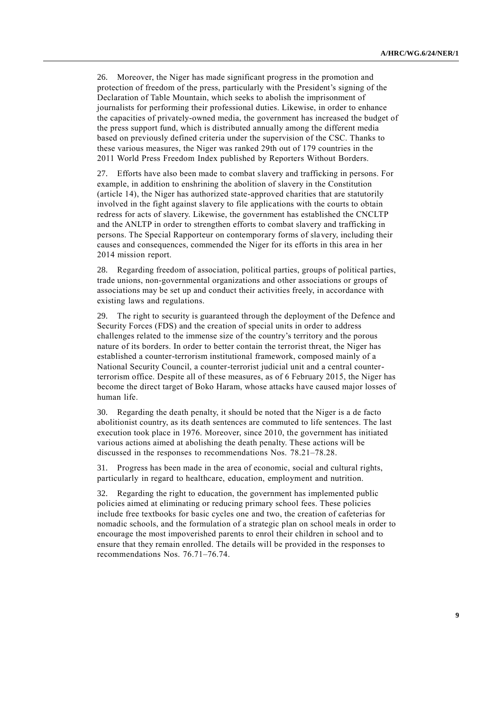26. Moreover, the Niger has made significant progress in the promotion and protection of freedom of the press, particularly with the President's signing of the Declaration of Table Mountain, which seeks to abolish the imprisonment of journalists for performing their professional duties. Likewise, in order to enhance the capacities of privately-owned media, the government has increased the budget of the press support fund, which is distributed annually among the different media based on previously defined criteria under the supervision of the CSC. Thanks to these various measures, the Niger was ranked 29th out of 179 countries in the 2011 World Press Freedom Index published by Reporters Without Borders.

27. Efforts have also been made to combat slavery and trafficking in persons. For example, in addition to enshrining the abolition of slavery in the Constitution (article 14), the Niger has authorized state-approved charities that are statutorily involved in the fight against slavery to file applications with the courts to obtain redress for acts of slavery. Likewise, the government has established the CNCLTP and the ANLTP in order to strengthen efforts to combat slavery and trafficking in persons. The Special Rapporteur on contemporary forms of slavery, including their causes and consequences, commended the Niger for its efforts in this area in her 2014 mission report.

28. Regarding freedom of association, political parties, groups of political parties, trade unions, non-governmental organizations and other associations or groups of associations may be set up and conduct their activities freely, in accordance with existing laws and regulations.

29. The right to security is guaranteed through the deployment of the Defence and Security Forces (FDS) and the creation of special units in order to address challenges related to the immense size of the country's territory and the porous nature of its borders. In order to better contain the terrorist threat, the Niger has established a counter-terrorism institutional framework, composed mainly of a National Security Council, a counter-terrorist judicial unit and a central counterterrorism office. Despite all of these measures, as of 6 February 2015, the Niger has become the direct target of Boko Haram, whose attacks have caused major losses of human life.

30. Regarding the death penalty, it should be noted that the Niger is a de facto abolitionist country, as its death sentences are commuted to life sentences. The last execution took place in 1976. Moreover, since 2010, the government has initiated various actions aimed at abolishing the death penalty. These actions will be discussed in the responses to recommendations Nos. 78.21–78.28.

31. Progress has been made in the area of economic, social and cultural rights, particularly in regard to healthcare, education, employment and nutrition.

32. Regarding the right to education, the government has implemented public policies aimed at eliminating or reducing primary school fees. These policies include free textbooks for basic cycles one and two, the creation of cafeterias for nomadic schools, and the formulation of a strategic plan on school meals in order to encourage the most impoverished parents to enrol their children in school and to ensure that they remain enrolled. The details will be provided in the responses to recommendations Nos. 76.71–76.74.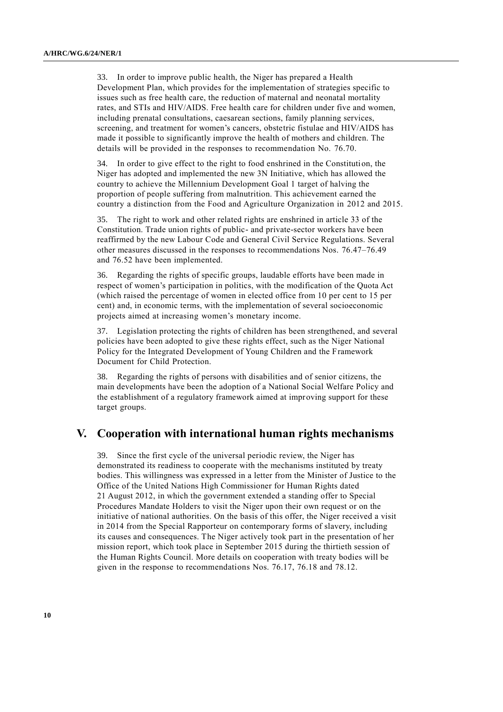33. In order to improve public health, the Niger has prepared a Health Development Plan, which provides for the implementation of strategies specific to issues such as free health care, the reduction of maternal and neonatal mortality rates, and STIs and HIV/AIDS. Free health care for children under five and women, including prenatal consultations, caesarean sections, family planning services, screening, and treatment for women's cancers, obstetric fistulae and HIV/AIDS has made it possible to significantly improve the health of mothers and children. The details will be provided in the responses to recommendation No. 76.70.

In order to give effect to the right to food enshrined in the Constitution, the Niger has adopted and implemented the new 3N Initiative, which has allowed the country to achieve the Millennium Development Goal 1 target of halving the proportion of people suffering from malnutrition. This achievement earned the country a distinction from the Food and Agriculture Organization in 2012 and 2015.

35. The right to work and other related rights are enshrined in article 33 of the Constitution. Trade union rights of public- and private-sector workers have been reaffirmed by the new Labour Code and General Civil Service Regulations. Several other measures discussed in the responses to recommendations Nos. 76.47–76.49 and 76.52 have been implemented.

36. Regarding the rights of specific groups, laudable efforts have been made in respect of women's participation in politics, with the modification of the Quota Act (which raised the percentage of women in elected office from 10 per cent to 15 per cent) and, in economic terms, with the implementation of several socioeconomic projects aimed at increasing women's monetary income.

37. Legislation protecting the rights of children has been strengthened, and several policies have been adopted to give these rights effect, such as the Niger National Policy for the Integrated Development of Young Children and the Framework Document for Child Protection.

38. Regarding the rights of persons with disabilities and of senior citizens, the main developments have been the adoption of a National Social Welfare Policy and the establishment of a regulatory framework aimed at improving support for these target groups.

#### **V. Cooperation with international human rights mechanisms**

39. Since the first cycle of the universal periodic review, the Niger has demonstrated its readiness to cooperate with the mechanisms instituted by treaty bodies. This willingness was expressed in a letter from the Minister of Justice to the Office of the United Nations High Commissioner for Human Rights dated 21 August 2012, in which the government extended a standing offer to Special Procedures Mandate Holders to visit the Niger upon their own request or on the initiative of national authorities. On the basis of this offer, the Niger received a visit in 2014 from the Special Rapporteur on contemporary forms of slavery, including its causes and consequences. The Niger actively took part in the presentation of her mission report, which took place in September 2015 during the thirtieth session of the Human Rights Council. More details on cooperation with treaty bodies will be given in the response to recommendations Nos. 76.17, 76.18 and 78.12.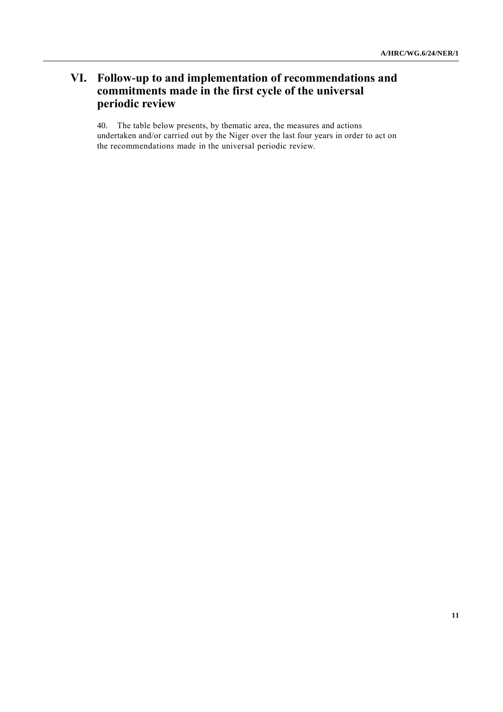# **VI. Follow-up to and implementation of recommendations and commitments made in the first cycle of the universal periodic review**

40. The table below presents, by thematic area, the measures and actions undertaken and/or carried out by the Niger over the last four years in order to act on the recommendations made in the universal periodic review.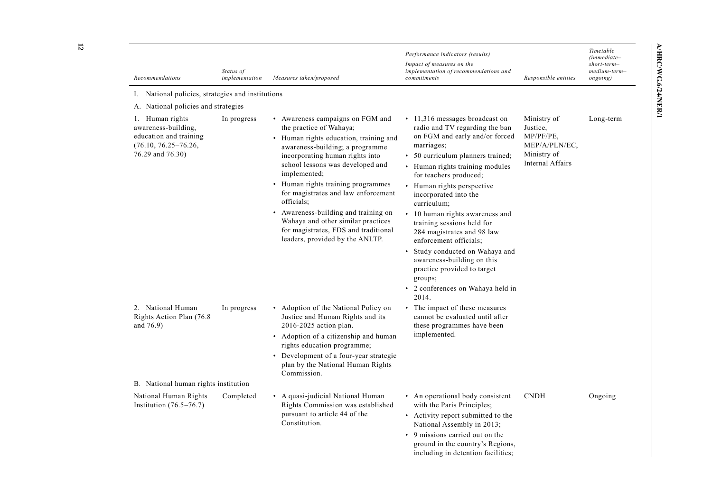| Recommendations                                                                                                  | Status of<br>implementation | Measures taken/proposed                                                                                                                                                                                                                                                                                                                                                                                                                                                                        | Performance indicators (results)<br>Impact of measures on the<br>implementation of recommendations and<br>commitments                                                                                                                                                                                                                                                                                                                                                                                                                                             | Responsible entities                                                                            | Timetable<br>$(immediate-$<br>$short-term-$<br>medium-term-<br>ongoing) |
|------------------------------------------------------------------------------------------------------------------|-----------------------------|------------------------------------------------------------------------------------------------------------------------------------------------------------------------------------------------------------------------------------------------------------------------------------------------------------------------------------------------------------------------------------------------------------------------------------------------------------------------------------------------|-------------------------------------------------------------------------------------------------------------------------------------------------------------------------------------------------------------------------------------------------------------------------------------------------------------------------------------------------------------------------------------------------------------------------------------------------------------------------------------------------------------------------------------------------------------------|-------------------------------------------------------------------------------------------------|-------------------------------------------------------------------------|
| National policies, strategies and institutions<br>1.                                                             |                             |                                                                                                                                                                                                                                                                                                                                                                                                                                                                                                |                                                                                                                                                                                                                                                                                                                                                                                                                                                                                                                                                                   |                                                                                                 |                                                                         |
| A. National policies and strategies                                                                              |                             |                                                                                                                                                                                                                                                                                                                                                                                                                                                                                                |                                                                                                                                                                                                                                                                                                                                                                                                                                                                                                                                                                   |                                                                                                 |                                                                         |
| 1. Human rights<br>awareness-building,<br>education and training<br>$(76.10, 76.25 - 76.26,$<br>76.29 and 76.30) | In progress                 | • Awareness campaigns on FGM and<br>the practice of Wahaya;<br>• Human rights education, training and<br>awareness-building; a programme<br>incorporating human rights into<br>school lessons was developed and<br>implemented;<br>Human rights training programmes<br>$\bullet$<br>for magistrates and law enforcement<br>officials;<br>• Awareness-building and training on<br>Wahaya and other similar practices<br>for magistrates, FDS and traditional<br>leaders, provided by the ANLTP. | • 11,316 messages broadcast on<br>radio and TV regarding the ban<br>on FGM and early and/or forced<br>marriages;<br>• 50 curriculum planners trained;<br>• Human rights training modules<br>for teachers produced;<br>• Human rights perspective<br>incorporated into the<br>curriculum;<br>• 10 human rights awareness and<br>training sessions held for<br>284 magistrates and 98 law<br>enforcement officials;<br>• Study conducted on Wahaya and<br>awareness-building on this<br>practice provided to target<br>groups;<br>• 2 conferences on Wahaya held in | Ministry of<br>Justice,<br>MP/PF/PE.<br>MEP/A/PLN/EC,<br>Ministry of<br><b>Internal Affairs</b> | Long-term                                                               |
| 2. National Human<br>Rights Action Plan (76.8)<br>and 76.9)<br>B. National human rights institution              | In progress                 | Adoption of the National Policy on<br>$\bullet$<br>Justice and Human Rights and its<br>2016-2025 action plan.<br>• Adoption of a citizenship and human<br>rights education programme;<br>• Development of a four-year strategic<br>plan by the National Human Rights<br>Commission.                                                                                                                                                                                                            | 2014.<br>• The impact of these measures<br>cannot be evaluated until after<br>these programmes have been<br>implemented.                                                                                                                                                                                                                                                                                                                                                                                                                                          |                                                                                                 |                                                                         |
| National Human Rights<br>Institution $(76.5-76.7)$                                                               | Completed                   | • A quasi-judicial National Human<br>Rights Commission was established<br>pursuant to article 44 of the<br>Constitution.                                                                                                                                                                                                                                                                                                                                                                       | • An operational body consistent<br>with the Paris Principles;<br>• Activity report submitted to the<br>National Assembly in 2013;<br>• 9 missions carried out on the<br>ground in the country's Regions.                                                                                                                                                                                                                                                                                                                                                         | <b>CNDH</b>                                                                                     | Ongoing                                                                 |

including in detention facilities;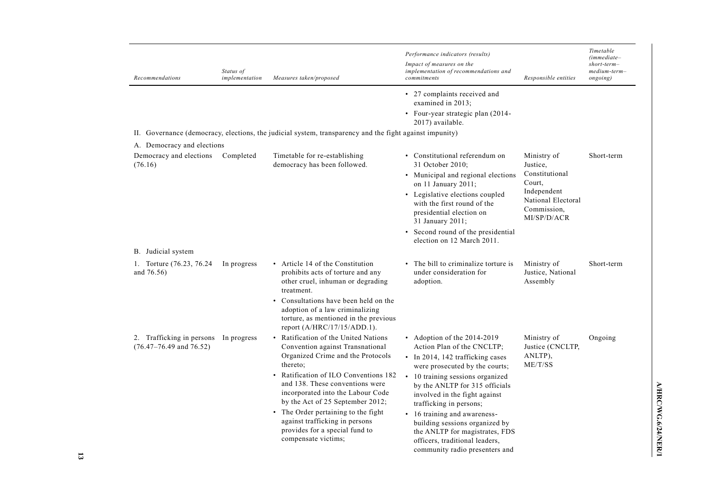| Recommendations                                            | Status of<br>implementation | Measures taken/proposed                                                                                                                                                                                                                                                                                                                                                                                        | Performance indicators (results)<br>Impact of measures on the<br>implementation of recommendations and<br>commitments                                                                                                                                                                                                                                                                                                                       | Responsible entities                                                                                                   | Timetable<br>(immediate-<br>$short-term-$<br>medium-term–<br>ongoing) |
|------------------------------------------------------------|-----------------------------|----------------------------------------------------------------------------------------------------------------------------------------------------------------------------------------------------------------------------------------------------------------------------------------------------------------------------------------------------------------------------------------------------------------|---------------------------------------------------------------------------------------------------------------------------------------------------------------------------------------------------------------------------------------------------------------------------------------------------------------------------------------------------------------------------------------------------------------------------------------------|------------------------------------------------------------------------------------------------------------------------|-----------------------------------------------------------------------|
|                                                            |                             | II. Governance (democracy, elections, the judicial system, transparency and the fight against impunity)                                                                                                                                                                                                                                                                                                        | • 27 complaints received and<br>examined in 2013;<br>• Four-year strategic plan (2014-<br>2017) available.                                                                                                                                                                                                                                                                                                                                  |                                                                                                                        |                                                                       |
| A. Democracy and elections                                 |                             |                                                                                                                                                                                                                                                                                                                                                                                                                |                                                                                                                                                                                                                                                                                                                                                                                                                                             |                                                                                                                        |                                                                       |
| Democracy and elections<br>(76.16)                         | Completed                   | Timetable for re-establishing<br>democracy has been followed.                                                                                                                                                                                                                                                                                                                                                  | • Constitutional referendum on<br>31 October 2010;<br>• Municipal and regional elections<br>on 11 January 2011;<br>• Legislative elections coupled<br>with the first round of the<br>presidential election on<br>31 January 2011;<br>• Second round of the presidential<br>election on 12 March 2011.                                                                                                                                       | Ministry of<br>Justice,<br>Constitutional<br>Court.<br>Independent<br>National Electoral<br>Commission.<br>MI/SP/D/ACR | Short-term                                                            |
| B. Judicial system                                         |                             |                                                                                                                                                                                                                                                                                                                                                                                                                |                                                                                                                                                                                                                                                                                                                                                                                                                                             |                                                                                                                        |                                                                       |
| Torture (76.23, 76.24<br>and $76.56$ )                     | In progress                 | • Article 14 of the Constitution<br>prohibits acts of torture and any<br>other cruel, inhuman or degrading<br>treatment.<br>Consultations have been held on the<br>adoption of a law criminalizing<br>torture, as mentioned in the previous<br>report $(A/HRC/17/15/ADD.1)$ .                                                                                                                                  | • The bill to criminalize torture is<br>under consideration for<br>adoption.                                                                                                                                                                                                                                                                                                                                                                | Ministry of<br>Justice, National<br>Assembly                                                                           | Short-term                                                            |
| 2. Trafficking in persons<br>$(76.47 - 76.49$ and $76.52)$ | In progress                 | Ratification of the United Nations<br>Convention against Transnational<br>Organized Crime and the Protocols<br>thereto;<br>• Ratification of ILO Conventions 182<br>and 138. These conventions were<br>incorporated into the Labour Code<br>by the Act of 25 September 2012;<br>• The Order pertaining to the fight<br>against trafficking in persons<br>provides for a special fund to<br>compensate victims; | • Adoption of the $2014-2019$<br>Action Plan of the CNCLTP;<br>• In 2014, 142 trafficking cases<br>were prosecuted by the courts;<br>• 10 training sessions organized<br>by the ANLTP for 315 officials<br>involved in the fight against<br>trafficking in persons;<br>• 16 training and awareness-<br>building sessions organized by<br>the ANLTP for magistrates, FDS<br>officers, traditional leaders,<br>community radio presenters and | Ministry of<br>Justice (CNCLTP,<br>ANLTP),<br>ME/T/SS                                                                  | Ongoing                                                               |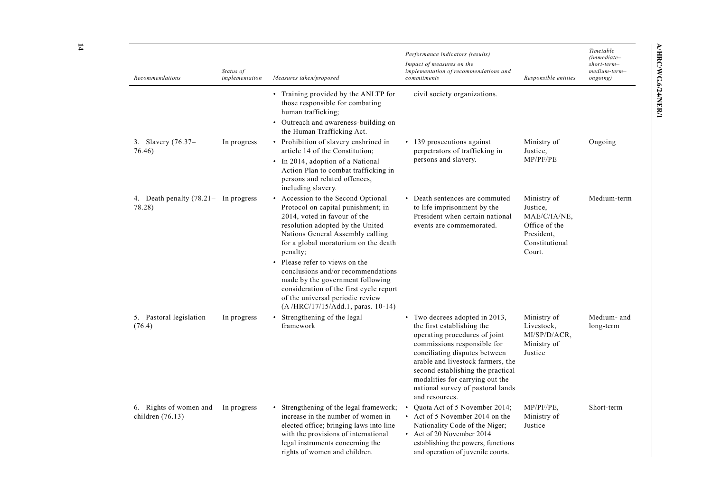|                                           | Performance indicators (results)<br>Impact of measures on the<br>implementation of recommendations and<br>commitments                                                | Responsible entities                                                                               | Timetable<br>(immediate–<br>short-term-<br>medium-term-<br>ongoing) |
|-------------------------------------------|----------------------------------------------------------------------------------------------------------------------------------------------------------------------|----------------------------------------------------------------------------------------------------|---------------------------------------------------------------------|
| P for<br>3                                | civil society organizations.                                                                                                                                         |                                                                                                    |                                                                     |
| ng on                                     |                                                                                                                                                                      |                                                                                                    |                                                                     |
| 1 in                                      | 139 prosecutions against<br>perpetrators of trafficking in<br>persons and slavery.                                                                                   | Ministry of<br>Justice,<br>MP/PF/PE                                                                | Ongoing                                                             |
| ng in                                     |                                                                                                                                                                      |                                                                                                    |                                                                     |
| ıal<br>: in<br>d<br>$_{\rm ing}$<br>death | Death sentences are commuted<br>to life imprisonment by the<br>President when certain national<br>events are commemorated.                                           | Ministry of<br>Justice,<br>MAE/C/IA/NE,<br>Office of the<br>President.<br>Constitutional<br>Court. | Medium-term                                                         |
| ations<br>ing<br>report                   |                                                                                                                                                                      |                                                                                                    |                                                                     |
| $0-14)$                                   | Two decrees adopted in 2013,<br>٠<br>the first establishing the<br>operating procedures of joint<br>commissions responsible for<br>the service of the control of the | Ministry of<br>Livestock,<br>MI/SP/D/ACR,<br>Ministry of                                           | Medium- and<br>long-term                                            |

| Recommendations                                | Status of<br>implementation | Measures taken/proposed                                                                                                                                                                                                                                                                                                                                                                                                                                              | implementation of recommendations and<br>commitments                                                                                                                                                                                                                                                                              | Responsible entities                                                                               | medium-term<br>ongoing) |
|------------------------------------------------|-----------------------------|----------------------------------------------------------------------------------------------------------------------------------------------------------------------------------------------------------------------------------------------------------------------------------------------------------------------------------------------------------------------------------------------------------------------------------------------------------------------|-----------------------------------------------------------------------------------------------------------------------------------------------------------------------------------------------------------------------------------------------------------------------------------------------------------------------------------|----------------------------------------------------------------------------------------------------|-------------------------|
|                                                |                             | • Training provided by the ANLTP for<br>those responsible for combating<br>human trafficking;<br>• Outreach and awareness-building on<br>the Human Trafficking Act.                                                                                                                                                                                                                                                                                                  | civil society organizations.                                                                                                                                                                                                                                                                                                      |                                                                                                    |                         |
| 3. Slavery (76.37–<br>76.46)                   | In progress                 | • Prohibition of slavery enshrined in<br>article 14 of the Constitution;<br>• In 2014, adoption of a National<br>Action Plan to combat trafficking in<br>persons and related offences,<br>including slavery.                                                                                                                                                                                                                                                         | • 139 prosecutions against<br>perpetrators of trafficking in<br>persons and slavery.                                                                                                                                                                                                                                              | Ministry of<br>Justice,<br>MP/PF/PE                                                                | Ongoing                 |
| 4. Death penalty (78.21- In progress<br>78.28) |                             | • Accession to the Second Optional<br>Protocol on capital punishment; in<br>2014, voted in favour of the<br>resolution adopted by the United<br>Nations General Assembly calling<br>for a global moratorium on the death<br>penalty;<br>• Please refer to views on the<br>conclusions and/or recommendations<br>made by the government following<br>consideration of the first cycle report<br>of the universal periodic review<br>(A/HRC/17/15/Add.1, paras. 10-14) | • Death sentences are commuted<br>to life imprisonment by the<br>President when certain national<br>events are commemorated.                                                                                                                                                                                                      | Ministry of<br>Justice,<br>MAE/C/IA/NE,<br>Office of the<br>President,<br>Constitutional<br>Court. | Medium-tei              |
| 5. Pastoral legislation<br>(76.4)              | In progress                 | Strengthening of the legal<br>framework                                                                                                                                                                                                                                                                                                                                                                                                                              | • Two decrees adopted in 2013,<br>the first establishing the<br>operating procedures of joint<br>commissions responsible for<br>conciliating disputes between<br>arable and livestock farmers, the<br>second establishing the practical<br>modalities for carrying out the<br>national survey of pastoral lands<br>and resources. | Ministry of<br>Livestock,<br>MI/SP/D/ACR,<br>Ministry of<br>Justice                                | Medium-ai<br>long-term  |
| 6. Rights of women and<br>children $(76.13)$   | In progress                 | • Strengthening of the legal framework;<br>increase in the number of women in<br>elected office; bringing laws into line<br>with the provisions of international<br>legal instruments concerning the<br>rights of women and children.                                                                                                                                                                                                                                | Quota Act of 5 November 2014;<br>$\bullet$<br>• Act of 5 November 2014 on the<br>Nationality Code of the Niger;<br>• Act of 20 November 2014<br>establishing the powers, functions<br>and operation of juvenile courts.                                                                                                           | $MP/PF/PE$ .<br>Ministry of<br>Justice                                                             | Short-term              |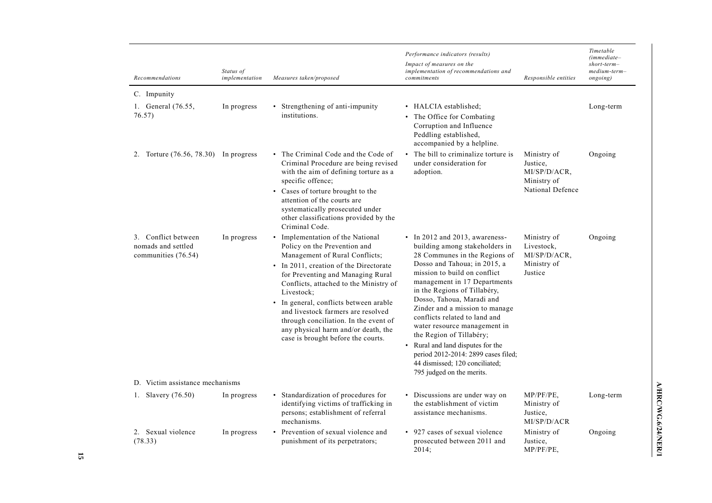| Recommendations                                                  | Status of<br>implementation | Measures taken/proposed                                                                                                                                                                                                                                                                                                                                                                                                                         | Performance indicators (results)<br>Impact of measures on the<br>implementation of recommendations and<br>commitments                                                                                                                                                                                                                                                                                                                                                                                                                    | Responsible entities                                                       | Timetable<br>$(immediate-$<br>$short-term-$<br>medium-term-<br>ongoing) |
|------------------------------------------------------------------|-----------------------------|-------------------------------------------------------------------------------------------------------------------------------------------------------------------------------------------------------------------------------------------------------------------------------------------------------------------------------------------------------------------------------------------------------------------------------------------------|------------------------------------------------------------------------------------------------------------------------------------------------------------------------------------------------------------------------------------------------------------------------------------------------------------------------------------------------------------------------------------------------------------------------------------------------------------------------------------------------------------------------------------------|----------------------------------------------------------------------------|-------------------------------------------------------------------------|
| C. Impunity                                                      |                             |                                                                                                                                                                                                                                                                                                                                                                                                                                                 |                                                                                                                                                                                                                                                                                                                                                                                                                                                                                                                                          |                                                                            |                                                                         |
| 1. General (76.55,<br>76.57)                                     | In progress                 | • Strengthening of anti-impunity<br>institutions.                                                                                                                                                                                                                                                                                                                                                                                               | • HALCIA established:<br>• The Office for Combating<br>Corruption and Influence<br>Peddling established,<br>accompanied by a helpline.                                                                                                                                                                                                                                                                                                                                                                                                   |                                                                            | Long-term                                                               |
| 2. Torture $(76.56, 78.30)$ In progress                          |                             | • The Criminal Code and the Code of<br>Criminal Procedure are being revised<br>with the aim of defining torture as a<br>specific offence;<br>• Cases of torture brought to the<br>attention of the courts are<br>systematically prosecuted under<br>other classifications provided by the<br>Criminal Code.                                                                                                                                     | • The bill to criminalize torture is<br>under consideration for<br>adoption.                                                                                                                                                                                                                                                                                                                                                                                                                                                             | Ministry of<br>Justice.<br>MI/SP/D/ACR,<br>Ministry of<br>National Defence | Ongoing                                                                 |
| 3. Conflict between<br>nomads and settled<br>communities (76.54) | In progress                 | • Implementation of the National<br>Policy on the Prevention and<br>Management of Rural Conflicts;<br>• In 2011, creation of the Directorate<br>for Preventing and Managing Rural<br>Conflicts, attached to the Ministry of<br>Livestock;<br>• In general, conflicts between arable<br>and livestock farmers are resolved<br>through conciliation. In the event of<br>any physical harm and/or death, the<br>case is brought before the courts. | • In 2012 and 2013, awareness-<br>building among stakeholders in<br>28 Communes in the Regions of<br>Dosso and Tahoua; in 2015, a<br>mission to build on conflict<br>management in 17 Departments<br>in the Regions of Tillabéry,<br>Dosso, Tahoua, Maradi and<br>Zinder and a mission to manage<br>conflicts related to land and<br>water resource management in<br>the Region of Tillabéry;<br>• Rural and land disputes for the<br>period 2012-2014: 2899 cases filed;<br>44 dismissed; 120 conciliated;<br>795 judged on the merits. | Ministry of<br>Livestock,<br>MI/SP/D/ACR,<br>Ministry of<br>Justice        | Ongoing                                                                 |
| D. Victim assistance mechanisms                                  |                             |                                                                                                                                                                                                                                                                                                                                                                                                                                                 |                                                                                                                                                                                                                                                                                                                                                                                                                                                                                                                                          |                                                                            |                                                                         |
| 1. Slavery $(76.50)$                                             | In progress                 | • Standardization of procedures for<br>identifying victims of trafficking in<br>persons; establishment of referral<br>mechanisms.                                                                                                                                                                                                                                                                                                               | • Discussions are under way on<br>the establishment of victim<br>assistance mechanisms.                                                                                                                                                                                                                                                                                                                                                                                                                                                  | $MP/PF/PE$ ,<br>Ministry of<br>Justice,<br>MI/SP/D/ACR                     | Long-term                                                               |
| 2. Sexual violence<br>(78.33)                                    | In progress                 | • Prevention of sexual violence and<br>punishment of its perpetrators;                                                                                                                                                                                                                                                                                                                                                                          | • 927 cases of sexual violence<br>prosecuted between 2011 and<br>2014:                                                                                                                                                                                                                                                                                                                                                                                                                                                                   | Ministry of<br>Justice,<br>$MP/PF/PE$ ,                                    | Ongoing                                                                 |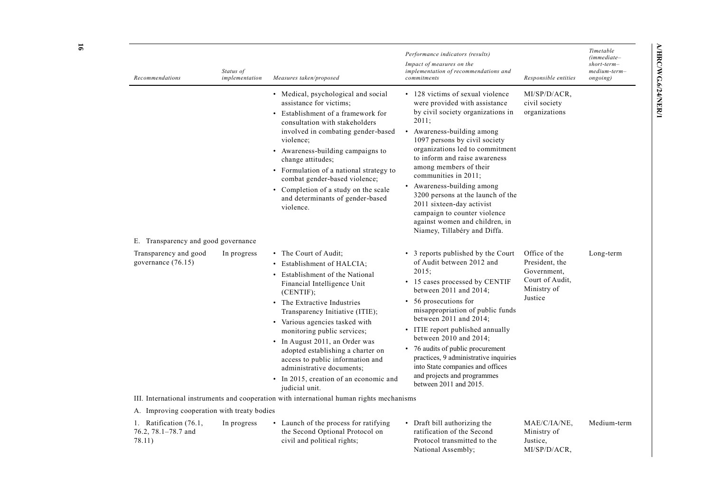| Recommendations                                         | Status of<br>implementation | Measures taken/proposed                                                                                                                                                                                                                                                                                                                                                                                                                                                 | Performance indicators (results)<br>Impact of measures on the<br>implementation of recommendations and<br>commitments                                                                                                                                                                                                                                                                                                                                                                                  | Responsible entities                                                                        | Timetable<br>$(immediate-$<br>$short-term-$<br>medium-term-<br>ongoing) |
|---------------------------------------------------------|-----------------------------|-------------------------------------------------------------------------------------------------------------------------------------------------------------------------------------------------------------------------------------------------------------------------------------------------------------------------------------------------------------------------------------------------------------------------------------------------------------------------|--------------------------------------------------------------------------------------------------------------------------------------------------------------------------------------------------------------------------------------------------------------------------------------------------------------------------------------------------------------------------------------------------------------------------------------------------------------------------------------------------------|---------------------------------------------------------------------------------------------|-------------------------------------------------------------------------|
|                                                         |                             | • Medical, psychological and social<br>assistance for victims;<br>• Establishment of a framework for<br>consultation with stakeholders<br>involved in combating gender-based<br>violence;<br>• Awareness-building campaigns to<br>change attitudes;<br>• Formulation of a national strategy to<br>combat gender-based violence;<br>• Completion of a study on the scale<br>and determinants of gender-based<br>violence.                                                | • 128 victims of sexual violence<br>were provided with assistance<br>by civil society organizations in<br>2011;<br>• Awareness-building among<br>1097 persons by civil society<br>organizations led to commitment<br>to inform and raise awareness<br>among members of their<br>communities in 2011;<br>• Awareness-building among<br>3200 persons at the launch of the<br>2011 sixteen-day activist<br>campaign to counter violence<br>against women and children, in<br>Niamey, Tillabéry and Diffa. | MI/SP/D/ACR,<br>civil society<br>organizations                                              |                                                                         |
| E. Transparency and good governance                     |                             |                                                                                                                                                                                                                                                                                                                                                                                                                                                                         |                                                                                                                                                                                                                                                                                                                                                                                                                                                                                                        |                                                                                             |                                                                         |
| Transparency and good<br>governance (76.15)             | In progress                 | • The Court of Audit:<br>• Establishment of HALCIA;<br>Establishment of the National<br>Financial Intelligence Unit<br>(CENTIF);<br>• The Extractive Industries<br>Transparency Initiative (ITIE);<br>• Various agencies tasked with<br>monitoring public services;<br>• In August 2011, an Order was<br>adopted establishing a charter on<br>access to public information and<br>administrative documents;<br>• In 2015, creation of an economic and<br>judicial unit. | • 3 reports published by the Court<br>of Audit between 2012 and<br>2015:<br>• 15 cases processed by CENTIF<br>between 2011 and 2014;<br>• 56 prosecutions for<br>misappropriation of public funds<br>between $2011$ and $2014$ ;<br>• ITIE report published annually<br>between $2010$ and $2014$ ;<br>• 76 audits of public procurement<br>practices, 9 administrative inquiries<br>into State companies and offices<br>and projects and programmes<br>between 2011 and 2015.                         | Office of the<br>President, the<br>Government.<br>Court of Audit,<br>Ministry of<br>Justice | Long-term                                                               |
|                                                         |                             | III. International instruments and cooperation with international human rights mechanisms                                                                                                                                                                                                                                                                                                                                                                               |                                                                                                                                                                                                                                                                                                                                                                                                                                                                                                        |                                                                                             |                                                                         |
| A. Improving cooperation with treaty bodies             |                             |                                                                                                                                                                                                                                                                                                                                                                                                                                                                         |                                                                                                                                                                                                                                                                                                                                                                                                                                                                                                        |                                                                                             |                                                                         |
| 1. Ratification (76.1,<br>76.2, 78.1-78.7 and<br>78.11) | In progress                 | • Launch of the process for ratifying<br>the Second Optional Protocol on<br>civil and political rights;                                                                                                                                                                                                                                                                                                                                                                 | • Draft bill authorizing the<br>ratification of the Second<br>Protocol transmitted to the<br>National Assembly;                                                                                                                                                                                                                                                                                                                                                                                        | MAE/C/IA/NE,<br>Ministry of<br>Justice,<br>MI/SP/D/ACR,                                     | Medium-term                                                             |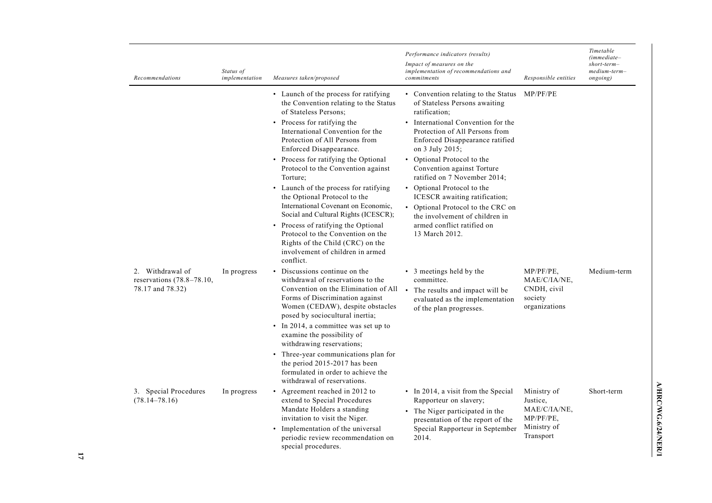| Recommendations                                                        | Status of<br>implementation | Measures taken/proposed                                                                                                                                                                                                                                                                                                                                                                                                                                                                                                                                                                                                                                    | Performance indicators (results)<br>Impact of measures on the<br>implementation of recommendations and<br>commitments                                                                                                                                                                                                                                                                                                                                                                                 | Responsible entities                                                                | Timetable<br>$(immediate-$<br>$short-term-$<br>medium-term-<br>ongoing) |
|------------------------------------------------------------------------|-----------------------------|------------------------------------------------------------------------------------------------------------------------------------------------------------------------------------------------------------------------------------------------------------------------------------------------------------------------------------------------------------------------------------------------------------------------------------------------------------------------------------------------------------------------------------------------------------------------------------------------------------------------------------------------------------|-------------------------------------------------------------------------------------------------------------------------------------------------------------------------------------------------------------------------------------------------------------------------------------------------------------------------------------------------------------------------------------------------------------------------------------------------------------------------------------------------------|-------------------------------------------------------------------------------------|-------------------------------------------------------------------------|
|                                                                        |                             | • Launch of the process for ratifying<br>the Convention relating to the Status<br>of Stateless Persons;<br>• Process for ratifying the<br>International Convention for the<br>Protection of All Persons from<br>Enforced Disappearance.<br>• Process for ratifying the Optional<br>Protocol to the Convention against<br>Torture:<br>• Launch of the process for ratifying<br>the Optional Protocol to the<br>International Covenant on Economic,<br>Social and Cultural Rights (ICESCR);<br>• Process of ratifying the Optional<br>Protocol to the Convention on the<br>Rights of the Child (CRC) on the<br>involvement of children in armed<br>conflict. | • Convention relating to the Status<br>of Stateless Persons awaiting<br>ratification;<br>• International Convention for the<br>Protection of All Persons from<br>Enforced Disappearance ratified<br>on 3 July 2015;<br>• Optional Protocol to the<br>Convention against Torture<br>ratified on 7 November 2014;<br>• Optional Protocol to the<br>ICESCR awaiting ratification;<br>• Optional Protocol to the CRC on<br>the involvement of children in<br>armed conflict ratified on<br>13 March 2012. | MP/PF/PE                                                                            |                                                                         |
| Withdrawal of<br>2.<br>reservations $(78.8-78.10,$<br>78.17 and 78.32) | In progress                 | Discussions continue on the<br>$\bullet$<br>withdrawal of reservations to the<br>Convention on the Elimination of All<br>Forms of Discrimination against<br>Women (CEDAW), despite obstacles<br>posed by sociocultural inertia;<br>• In 2014, a committee was set up to<br>examine the possibility of<br>withdrawing reservations;<br>Three-year communications plan for<br>$\bullet$<br>the period $2015-2017$ has been<br>formulated in order to achieve the                                                                                                                                                                                             | • 3 meetings held by the<br>committee.<br>$\bullet$<br>The results and impact will be<br>evaluated as the implementation<br>of the plan progresses.                                                                                                                                                                                                                                                                                                                                                   | $MP/PF/PE$ ,<br>MAE/C/IA/NE,<br>CNDH, civil<br>society<br>organizations             | Medium-term                                                             |
| 3. Special Procedures<br>$(78.14 - 78.16)$                             | In progress                 | withdrawal of reservations.<br>Agreement reached in 2012 to<br>$\bullet$<br>extend to Special Procedures<br>Mandate Holders a standing<br>invitation to visit the Niger.<br>Implementation of the universal<br>periodic review recommendation on<br>special procedures.                                                                                                                                                                                                                                                                                                                                                                                    | • In 2014, a visit from the Special<br>Rapporteur on slavery;<br>• The Niger participated in the<br>presentation of the report of the<br>Special Rapporteur in September<br>2014.                                                                                                                                                                                                                                                                                                                     | Ministry of<br>Justice,<br>MAE/C/IA/NE,<br>$MP/PF/PE$ ,<br>Ministry of<br>Transport | Short-term                                                              |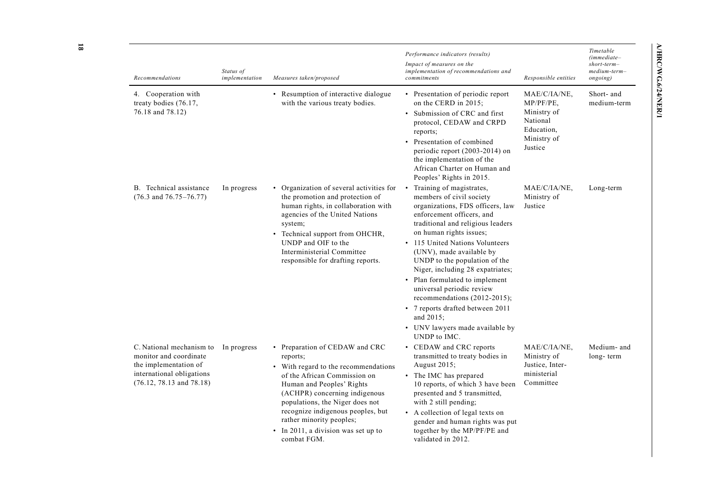| Recommendations                                                                                                                       | Status of<br>implementation | Measures taken/proposed                                                                                                                                                                                                                                                                                                                    | Performance indicators (results)<br>Impact of measures on the<br>implementation of recommendations and<br>commitments                                                                                                                                                                                                                                                                                                                                                                                                                | Responsible entities                                                                         | Timetable<br>$(immediate-$<br>short-term-<br>medium-term-<br>ongoing) |
|---------------------------------------------------------------------------------------------------------------------------------------|-----------------------------|--------------------------------------------------------------------------------------------------------------------------------------------------------------------------------------------------------------------------------------------------------------------------------------------------------------------------------------------|--------------------------------------------------------------------------------------------------------------------------------------------------------------------------------------------------------------------------------------------------------------------------------------------------------------------------------------------------------------------------------------------------------------------------------------------------------------------------------------------------------------------------------------|----------------------------------------------------------------------------------------------|-----------------------------------------------------------------------|
| 4. Cooperation with<br>treaty bodies (76.17,<br>76.18 and 78.12)                                                                      |                             | • Resumption of interactive dialogue<br>with the various treaty bodies.                                                                                                                                                                                                                                                                    | • Presentation of periodic report<br>on the CERD in 2015;<br>• Submission of CRC and first<br>protocol, CEDAW and CRPD<br>reports;<br>• Presentation of combined<br>periodic report (2003-2014) on<br>the implementation of the<br>African Charter on Human and<br>Peoples' Rights in 2015.                                                                                                                                                                                                                                          | MAE/C/IA/NE,<br>MP/PF/PE.<br>Ministry of<br>National<br>Education.<br>Ministry of<br>Justice | Short- and<br>medium-term                                             |
| B. Technical assistance<br>$(76.3 \text{ and } 76.75 - 76.77)$                                                                        | In progress                 | • Organization of several activities for<br>the promotion and protection of<br>human rights, in collaboration with<br>agencies of the United Nations<br>system;<br>• Technical support from OHCHR,<br>UNDP and OIF to the<br>Interministerial Committee<br>responsible for drafting reports.                                               | • Training of magistrates,<br>members of civil society<br>organizations, FDS officers, law<br>enforcement officers, and<br>traditional and religious leaders<br>on human rights issues;<br>• 115 United Nations Volunteers<br>(UNV), made available by<br>UNDP to the population of the<br>Niger, including 28 expatriates;<br>• Plan formulated to implement<br>universal periodic review<br>recommendations $(2012-2015)$ ;<br>• 7 reports drafted between 2011<br>and $2015$ ;<br>• UNV lawyers made available by<br>UNDP to IMC. | MAE/C/IA/NE.<br>Ministry of<br>Justice                                                       | Long-term                                                             |
| C. National mechanism to<br>monitor and coordinate<br>the implementation of<br>international obligations<br>(76.12, 78.13, and 78.18) | In progress                 | • Preparation of CEDAW and CRC<br>reports;<br>• With regard to the recommendations<br>of the African Commission on<br>Human and Peoples' Rights<br>(ACHPR) concerning indigenous<br>populations, the Niger does not<br>recognize indigenous peoples, but<br>rather minority peoples;<br>• In 2011, a division was set up to<br>combat FGM. | • CEDAW and CRC reports<br>transmitted to treaty bodies in<br>August 2015;<br>• The IMC has prepared<br>10 reports, of which 3 have been<br>presented and 5 transmitted,<br>with 2 still pending;<br>• A collection of legal texts on<br>gender and human rights was put<br>together by the MP/PF/PE and<br>validated in 2012.                                                                                                                                                                                                       | MAE/C/IA/NE,<br>Ministry of<br>Justice, Inter-<br>ministerial<br>Committee                   | Medium- and<br>long-term                                              |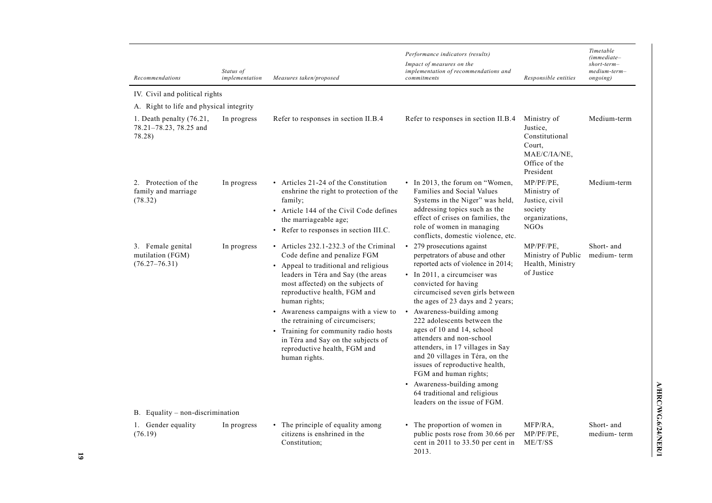| Recommendations                                                | Status of<br>implementation | Measures taken/proposed                                                                                                                                                                                                                                                                                                                                                                                                                               | Performance indicators (results)<br>Impact of measures on the<br>implementation of recommendations and<br>commitments                                                                                                                                                                                                                                                                                                                                                                                                                                                                               | Responsible entities                                                                              | Timetable<br>$(immediate-$<br>$short-term-$<br>medium-term-<br>ongoing) |
|----------------------------------------------------------------|-----------------------------|-------------------------------------------------------------------------------------------------------------------------------------------------------------------------------------------------------------------------------------------------------------------------------------------------------------------------------------------------------------------------------------------------------------------------------------------------------|-----------------------------------------------------------------------------------------------------------------------------------------------------------------------------------------------------------------------------------------------------------------------------------------------------------------------------------------------------------------------------------------------------------------------------------------------------------------------------------------------------------------------------------------------------------------------------------------------------|---------------------------------------------------------------------------------------------------|-------------------------------------------------------------------------|
| IV. Civil and political rights                                 |                             |                                                                                                                                                                                                                                                                                                                                                                                                                                                       |                                                                                                                                                                                                                                                                                                                                                                                                                                                                                                                                                                                                     |                                                                                                   |                                                                         |
| A. Right to life and physical integrity                        |                             |                                                                                                                                                                                                                                                                                                                                                                                                                                                       |                                                                                                                                                                                                                                                                                                                                                                                                                                                                                                                                                                                                     |                                                                                                   |                                                                         |
| 1. Death penalty $(76.21,$<br>78.21-78.23, 78.25 and<br>78.28) | In progress                 | Refer to responses in section II.B.4                                                                                                                                                                                                                                                                                                                                                                                                                  | Refer to responses in section II.B.4                                                                                                                                                                                                                                                                                                                                                                                                                                                                                                                                                                | Ministry of<br>Justice.<br>Constitutional<br>Court.<br>MAE/C/IA/NE,<br>Office of the<br>President | Medium-term                                                             |
| 2. Protection of the<br>family and marriage<br>(78.32)         | In progress                 | • Articles 21-24 of the Constitution<br>enshrine the right to protection of the<br>family;<br>• Article 144 of the Civil Code defines<br>the marriageable age;<br>• Refer to responses in section III.C.                                                                                                                                                                                                                                              | • In 2013, the forum on "Women,<br>Families and Social Values<br>Systems in the Niger" was held,<br>addressing topics such as the<br>effect of crises on families, the<br>role of women in managing<br>conflicts, domestic violence, etc.                                                                                                                                                                                                                                                                                                                                                           | $MP/PF/PE$ .<br>Ministry of<br>Justice, civil<br>society<br>organizations,<br><b>NGOs</b>         | Medium-term                                                             |
| 3. Female genital<br>mutilation (FGM)<br>$(76.27 - 76.31)$     | In progress                 | • Articles 232.1-232.3 of the Criminal<br>Code define and penalize FGM<br>• Appeal to traditional and religious<br>leaders in Téra and Say (the areas<br>most affected) on the subjects of<br>reproductive health, FGM and<br>human rights;<br>• Awareness campaigns with a view to<br>the retraining of circumcisers;<br>• Training for community radio hosts<br>in Téra and Say on the subjects of<br>reproductive health, FGM and<br>human rights. | • 279 prosecutions against<br>perpetrators of abuse and other<br>reported acts of violence in 2014;<br>• In 2011, a circumciser was<br>convicted for having<br>circumcised seven girls between<br>the ages of 23 days and 2 years;<br>Awareness-building among<br>$\bullet$<br>222 adolescents between the<br>ages of 10 and 14, school<br>attenders and non-school<br>attenders, in 17 villages in Say<br>and 20 villages in Téra, on the<br>issues of reproductive health,<br>FGM and human rights;<br>• Awareness-building among<br>64 traditional and religious<br>leaders on the issue of FGM. | MP/PF/PE,<br>Ministry of Public<br>Health, Ministry<br>of Justice                                 | Short- and<br>medium-term                                               |
| B. Equality – non-discrimination                               |                             |                                                                                                                                                                                                                                                                                                                                                                                                                                                       |                                                                                                                                                                                                                                                                                                                                                                                                                                                                                                                                                                                                     |                                                                                                   |                                                                         |
| 1. Gender equality<br>(76.19)                                  | In progress                 | • The principle of equality among<br>citizens is enshrined in the<br>Constitution:                                                                                                                                                                                                                                                                                                                                                                    | • The proportion of women in<br>public posts rose from 30.66 per<br>cent in 2011 to 33.50 per cent in<br>2013.                                                                                                                                                                                                                                                                                                                                                                                                                                                                                      | MFP/RA,<br>MP/PF/PE,<br>ME/T/SS                                                                   | Short- and<br>medium-term                                               |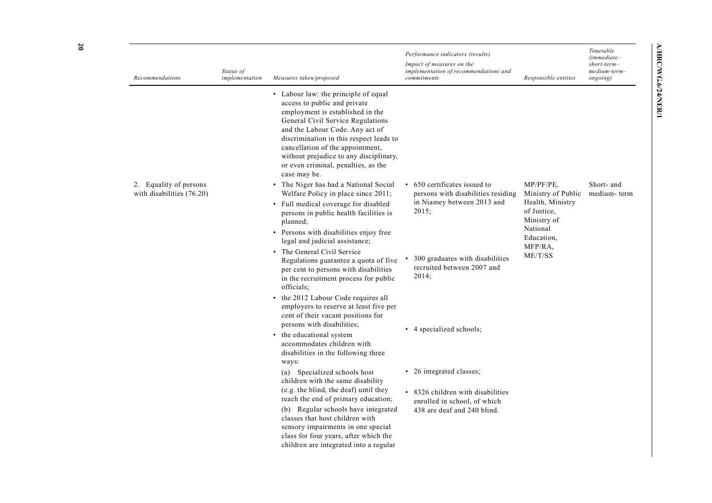| Recommendations                                     | Status of<br>implementation | Measures taken/proposed                                                                                                                                                                                                                                                                                                                                                                                                                                                                                                                                                                                                                                                                                                                                                                                                                                                                                                                                                                                                                                                                                                              | Performance indicators (results)<br>Impact of measures on the<br>implementation of recommendations and<br>commitments                                                                                                                       | Responsible entities                                                                                                                 | Timetable<br>$(immediate-$<br>short-term-<br>medium-term-<br>ongoing) |
|-----------------------------------------------------|-----------------------------|--------------------------------------------------------------------------------------------------------------------------------------------------------------------------------------------------------------------------------------------------------------------------------------------------------------------------------------------------------------------------------------------------------------------------------------------------------------------------------------------------------------------------------------------------------------------------------------------------------------------------------------------------------------------------------------------------------------------------------------------------------------------------------------------------------------------------------------------------------------------------------------------------------------------------------------------------------------------------------------------------------------------------------------------------------------------------------------------------------------------------------------|---------------------------------------------------------------------------------------------------------------------------------------------------------------------------------------------------------------------------------------------|--------------------------------------------------------------------------------------------------------------------------------------|-----------------------------------------------------------------------|
| 2. Equality of persons<br>with disabilities (76.20) |                             | • Labour law: the principle of equal<br>access to public and private<br>employment is established in the<br>General Civil Service Regulations<br>and the Labour Code. Any act of<br>discrimination in this respect leads to<br>cancellation of the appointment,<br>without prejudice to any disciplinary,<br>or even criminal, penalties, as the<br>case may be.<br>• The Niger has had a National Social<br>Welfare Policy in place since 2011;<br>• Full medical coverage for disabled<br>persons in public health facilities is<br>planned;<br>• Persons with disabilities enjoy free<br>legal and judicial assistance;<br>• The General Civil Service<br>Regulations guarantee a quota of five<br>per cent to persons with disabilities<br>in the recruitment process for public<br>officials:<br>• the 2012 Labour Code requires all<br>employers to reserve at least five per<br>cent of their vacant positions for<br>persons with disabilities;<br>the educational system<br>accommodates children with<br>disabilities in the following three<br>ways:<br>(a) Specialized schools host<br>children with the same disability | • 650 certificates issued to<br>persons with disabilities residing<br>in Niamey between 2013 and<br>2015;<br>300 graduates with disabilities<br>recruited between 2007 and<br>2014;<br>• 4 specialized schools;<br>• 26 integrated classes; | $MP/PF/PE$ .<br>Ministry of Public<br>Health, Ministry<br>of Justice,<br>Ministry of<br>National<br>Education,<br>MFP/RA,<br>ME/T/SS | Short- and<br>medium-term                                             |
|                                                     |                             | (e.g. the blind, the deaf) until they<br>reach the end of primary education;<br>(b) Regular schools have integrated<br>classes that host children with<br>sensory impairments in one special<br>class for four years, after which the<br>children are integrated into a regular                                                                                                                                                                                                                                                                                                                                                                                                                                                                                                                                                                                                                                                                                                                                                                                                                                                      | • 8326 children with disabilities<br>enrolled in school, of which<br>438 are deaf and 240 blind.                                                                                                                                            |                                                                                                                                      |                                                                       |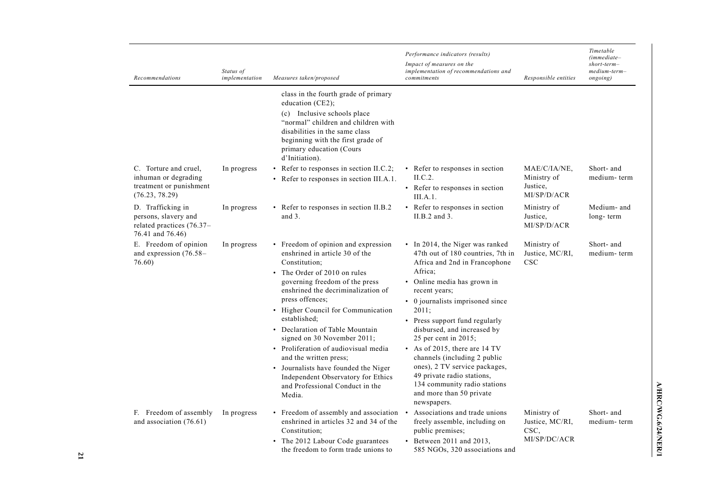| Recommendations                                                                            | Status of<br>implementation | Measures taken/proposed                                                                                                                                                                                                                                                                                                                                                                                                                                                                                                                | Performance indicators (results)<br>Impact of measures on the<br>implementation of recommendations and<br>commitments                                                                                                                                                                                                                                                                                                                                                                                                | Responsible entities                                   | Timetable<br>$(immediate-$<br>$short-term-$<br>medium-term-<br>ongoing) |
|--------------------------------------------------------------------------------------------|-----------------------------|----------------------------------------------------------------------------------------------------------------------------------------------------------------------------------------------------------------------------------------------------------------------------------------------------------------------------------------------------------------------------------------------------------------------------------------------------------------------------------------------------------------------------------------|----------------------------------------------------------------------------------------------------------------------------------------------------------------------------------------------------------------------------------------------------------------------------------------------------------------------------------------------------------------------------------------------------------------------------------------------------------------------------------------------------------------------|--------------------------------------------------------|-------------------------------------------------------------------------|
|                                                                                            |                             | class in the fourth grade of primary<br>education (CE2);<br>(c) Inclusive schools place<br>"normal" children and children with<br>disabilities in the same class<br>beginning with the first grade of<br>primary education (Cours<br>d'Initiation).                                                                                                                                                                                                                                                                                    |                                                                                                                                                                                                                                                                                                                                                                                                                                                                                                                      |                                                        |                                                                         |
| C. Torture and cruel,<br>inhuman or degrading<br>treatment or punishment<br>(76.23, 78.29) | In progress                 | • Refer to responses in section II.C.2;<br>• Refer to responses in section III.A.1.                                                                                                                                                                                                                                                                                                                                                                                                                                                    | • Refer to responses in section<br>ILC.2.<br>• Refer to responses in section<br>III.A.1.                                                                                                                                                                                                                                                                                                                                                                                                                             | MAE/C/IA/NE,<br>Ministry of<br>Justice,<br>MI/SP/D/ACR | Short- and<br>medium-term                                               |
| D. Trafficking in<br>persons, slavery and<br>related practices (76.37-<br>76.41 and 76.46) | In progress                 | • Refer to responses in section II.B.2<br>and 3.                                                                                                                                                                                                                                                                                                                                                                                                                                                                                       | • Refer to responses in section<br>II.B.2 and 3.                                                                                                                                                                                                                                                                                                                                                                                                                                                                     | Ministry of<br>Justice,<br>MI/SP/D/ACR                 | Medium- and<br>long-term                                                |
| E. Freedom of opinion<br>and expression $(76.58 -$<br>76.60)                               | In progress                 | • Freedom of opinion and expression<br>enshrined in article 30 of the<br>Constitution:<br>• The Order of 2010 on rules<br>governing freedom of the press<br>enshrined the decriminalization of<br>press offences;<br>• Higher Council for Communication<br>established:<br>• Declaration of Table Mountain<br>signed on 30 November 2011;<br>• Proliferation of audiovisual media<br>and the written press;<br>• Journalists have founded the Niger<br>Independent Observatory for Ethics<br>and Professional Conduct in the<br>Media. | • In 2014, the Niger was ranked<br>47th out of 180 countries, 7th in<br>Africa and 2nd in Francophone<br>Africa:<br>• Online media has grown in<br>recent years;<br>• 0 journalists imprisoned since<br>2011:<br>• Press support fund regularly<br>disbursed, and increased by<br>25 per cent in $2015$ ;<br>• As of 2015, there are 14 TV<br>channels (including 2 public<br>ones), 2 TV service packages,<br>49 private radio stations,<br>134 community radio stations<br>and more than 50 private<br>newspapers. | Ministry of<br>Justice, MC/RI,<br><b>CSC</b>           | Short- and<br>medium-term                                               |
| F. Freedom of assembly<br>and association (76.61)                                          | In progress                 | • Freedom of assembly and association •<br>enshrined in articles 32 and 34 of the<br>Constitution:<br>• The 2012 Labour Code guarantees<br>the freedom to form trade unions to                                                                                                                                                                                                                                                                                                                                                         | Associations and trade unions<br>freely assemble, including on<br>public premises;<br>$\bullet$ Between 2011 and 2013,<br>585 NGOs, 320 associations and                                                                                                                                                                                                                                                                                                                                                             | Ministry of<br>Justice, MC/RI,<br>CSC,<br>MI/SP/DC/ACR | Short- and<br>medium-term                                               |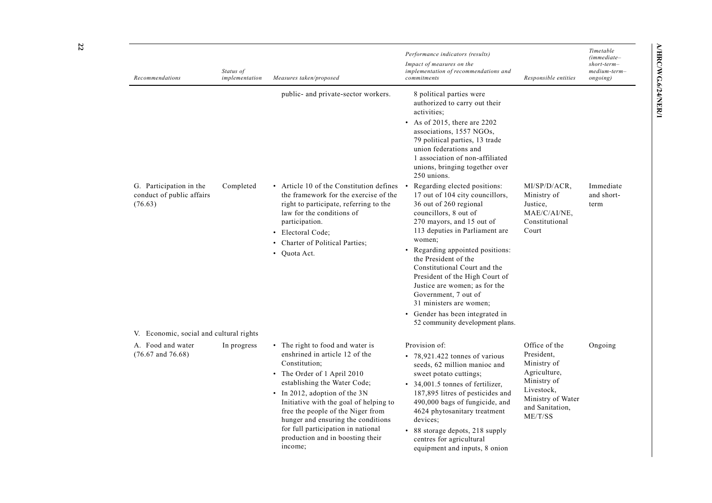| Recommendations                                                 | Status of<br>implementation | Measures taken/proposed                                                                                                                                                                                                                                                                                                                                                                       | Performance indicators (results)<br>Impact of measures on the<br>implementation of recommendations and<br>commitments                                                                                                                                                                                                                                                                                                                                                                                                                                                                                                                                                                                                                                                      | Responsible entities                                                                                                                       | Timetable<br>$(immediate-$<br>$short-term-$<br>$medium-term-$<br>ongoing) |
|-----------------------------------------------------------------|-----------------------------|-----------------------------------------------------------------------------------------------------------------------------------------------------------------------------------------------------------------------------------------------------------------------------------------------------------------------------------------------------------------------------------------------|----------------------------------------------------------------------------------------------------------------------------------------------------------------------------------------------------------------------------------------------------------------------------------------------------------------------------------------------------------------------------------------------------------------------------------------------------------------------------------------------------------------------------------------------------------------------------------------------------------------------------------------------------------------------------------------------------------------------------------------------------------------------------|--------------------------------------------------------------------------------------------------------------------------------------------|---------------------------------------------------------------------------|
| G. Participation in the<br>conduct of public affairs<br>(76.63) | Completed                   | public- and private-sector workers.<br>• Article 10 of the Constitution defines<br>the framework for the exercise of the<br>right to participate, referring to the<br>law for the conditions of<br>participation.<br>• Electoral Code;<br>Charter of Political Parties:<br>$\bullet$<br>Quota Act.<br>$\bullet$                                                                               | 8 political parties were<br>authorized to carry out their<br>activities:<br>• As of 2015, there are 2202<br>associations, 1557 NGOs,<br>79 political parties, 13 trade<br>union federations and<br>1 association of non-affiliated<br>unions, bringing together over<br>250 unions.<br>Regarding elected positions:<br>17 out of 104 city councillors,<br>36 out of 260 regional<br>councillors, 8 out of<br>270 mayors, and 15 out of<br>113 deputies in Parliament are<br>women;<br>• Regarding appointed positions:<br>the President of the<br>Constitutional Court and the<br>President of the High Court of<br>Justice are women; as for the<br>Government, 7 out of<br>31 ministers are women;<br>• Gender has been integrated in<br>52 community development plans. | MI/SP/D/ACR.<br>Ministry of<br>Justice,<br>MAE/C/AI/NE,<br>Constitutional<br>Court                                                         | Immediate<br>and short-<br>term                                           |
| V. Economic, social and cultural rights                         |                             |                                                                                                                                                                                                                                                                                                                                                                                               |                                                                                                                                                                                                                                                                                                                                                                                                                                                                                                                                                                                                                                                                                                                                                                            |                                                                                                                                            |                                                                           |
| A. Food and water<br>$(76.67$ and $76.68)$                      | In progress                 | • The right to food and water is<br>enshrined in article 12 of the<br>Constitution;<br>• The Order of 1 April 2010<br>establishing the Water Code;<br>• In 2012, adoption of the 3N<br>Initiative with the goal of helping to<br>free the people of the Niger from<br>hunger and ensuring the conditions<br>for full participation in national<br>production and in boosting their<br>income; | Provision of:<br>• 78,921.422 tonnes of various<br>seeds, 62 million manioc and<br>sweet potato cuttings;<br>• 34,001.5 tonnes of fertilizer,<br>187,895 litres of pesticides and<br>490,000 bags of fungicide, and<br>4624 phytosanitary treatment<br>devices:<br>• 88 storage depots, 218 supply<br>centres for agricultural<br>equipment and inputs, 8 onion                                                                                                                                                                                                                                                                                                                                                                                                            | Office of the<br>President.<br>Ministry of<br>Agriculture,<br>Ministry of<br>Livestock,<br>Ministry of Water<br>and Sanitation,<br>ME/T/SS | Ongoing                                                                   |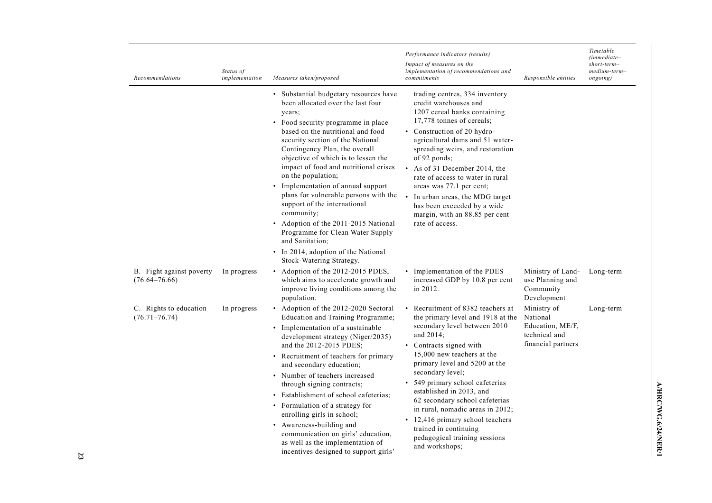| Recommendations                               | Status of<br>implementation | Measures taken/proposed                                                                                                                                                                                                                                                                                                                                                                                                                                                                                                                                                                                                                    | Performance indicators (results)<br>Impact of measures on the<br>implementation of recommendations and<br>commitments                                                                                                                                                                                                                                                                                                                                                                  | Responsible entities                                                               | Timetable<br>$(immediate-$<br>$short-term-$<br>medium-term-<br>ongoing) |
|-----------------------------------------------|-----------------------------|--------------------------------------------------------------------------------------------------------------------------------------------------------------------------------------------------------------------------------------------------------------------------------------------------------------------------------------------------------------------------------------------------------------------------------------------------------------------------------------------------------------------------------------------------------------------------------------------------------------------------------------------|----------------------------------------------------------------------------------------------------------------------------------------------------------------------------------------------------------------------------------------------------------------------------------------------------------------------------------------------------------------------------------------------------------------------------------------------------------------------------------------|------------------------------------------------------------------------------------|-------------------------------------------------------------------------|
|                                               |                             | • Substantial budgetary resources have<br>been allocated over the last four<br>years;<br>• Food security programme in place<br>based on the nutritional and food<br>security section of the National<br>Contingency Plan, the overall<br>objective of which is to lessen the<br>impact of food and nutritional crises<br>on the population;<br>• Implementation of annual support<br>plans for vulnerable persons with the<br>support of the international<br>community;<br>• Adoption of the 2011-2015 National<br>Programme for Clean Water Supply<br>and Sanitation;<br>• In 2014, adoption of the National<br>Stock-Watering Strategy. | trading centres, 334 inventory<br>credit warehouses and<br>1207 cereal banks containing<br>17,778 tonnes of cereals;<br>• Construction of 20 hydro-<br>agricultural dams and 51 water-<br>spreading weirs, and restoration<br>of 92 ponds;<br>• As of 31 December 2014, the<br>rate of access to water in rural<br>areas was 77.1 per cent;<br>In urban areas, the MDG target<br>has been exceeded by a wide<br>margin, with an 88.85 per cent<br>rate of access.                      |                                                                                    |                                                                         |
| B. Fight against poverty<br>$(76.64 - 76.66)$ | In progress                 | • Adoption of the 2012-2015 PDES,<br>which aims to accelerate growth and<br>improve living conditions among the<br>population.                                                                                                                                                                                                                                                                                                                                                                                                                                                                                                             | • Implementation of the PDES<br>increased GDP by 10.8 per cent<br>in 2012.                                                                                                                                                                                                                                                                                                                                                                                                             | Ministry of Land-<br>use Planning and<br>Community<br>Development                  | Long-term                                                               |
| C. Rights to education<br>$(76.71 - 76.74)$   | In progress                 | Adoption of the 2012-2020 Sectoral<br>$\bullet$<br>Education and Training Programme;<br>• Implementation of a sustainable<br>development strategy (Niger/2035)<br>and the 2012-2015 PDES;<br>• Recruitment of teachers for primary<br>and secondary education;<br>• Number of teachers increased<br>through signing contracts;<br>• Establishment of school cafeterias;<br>• Formulation of a strategy for<br>enrolling girls in school;<br>Awareness-building and<br>$\bullet$<br>communication on girls' education,<br>as well as the implementation of<br>incentives designed to support girls'                                         | • Recruitment of 8382 teachers at<br>the primary level and 1918 at the<br>secondary level between 2010<br>and 2014;<br>• Contracts signed with<br>15,000 new teachers at the<br>primary level and 5200 at the<br>secondary level;<br>• 549 primary school cafeterias<br>established in 2013, and<br>62 secondary school cafeterias<br>in rural, nomadic areas in 2012;<br>• 12,416 primary school teachers<br>trained in continuing<br>pedagogical training sessions<br>and workshops; | Ministry of<br>National<br>Education, ME/F,<br>technical and<br>financial partners | Long-term                                                               |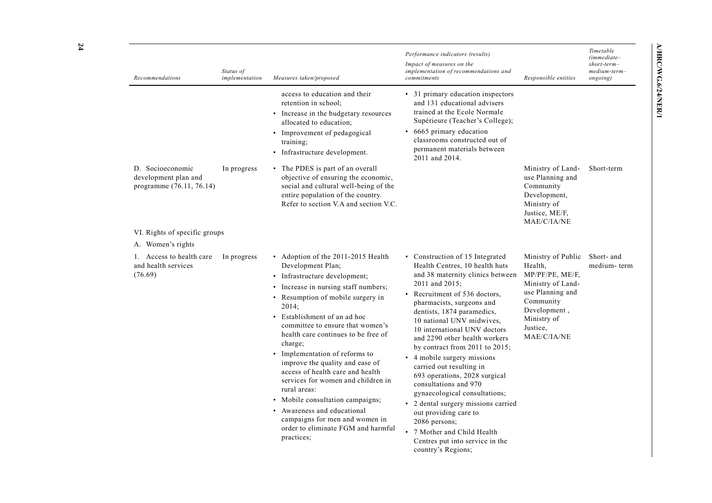| Recommendations                                                                 | Status of<br>implementation | Measures taken/proposed                                                                                                                                                                                                                                                                                                                                                                                                                                                                                                                                                                                                                            | Performance indicators (results)<br>Impact of measures on the<br>implementation of recommendations and<br>commitments                                                                                                                                                                                                                                                                                                                                                                                                                                                                                                                                                            | Responsible entities                                                                                                                                             | Timetable<br>$(immediate-$<br>$short-term-$<br>medium-term-<br>ongoing) |
|---------------------------------------------------------------------------------|-----------------------------|----------------------------------------------------------------------------------------------------------------------------------------------------------------------------------------------------------------------------------------------------------------------------------------------------------------------------------------------------------------------------------------------------------------------------------------------------------------------------------------------------------------------------------------------------------------------------------------------------------------------------------------------------|----------------------------------------------------------------------------------------------------------------------------------------------------------------------------------------------------------------------------------------------------------------------------------------------------------------------------------------------------------------------------------------------------------------------------------------------------------------------------------------------------------------------------------------------------------------------------------------------------------------------------------------------------------------------------------|------------------------------------------------------------------------------------------------------------------------------------------------------------------|-------------------------------------------------------------------------|
| D. Socioeconomic<br>development plan and<br>programme (76.11, 76.14)            | In progress                 | access to education and their<br>retention in school:<br>• Increase in the budgetary resources<br>allocated to education;<br>• Improvement of pedagogical<br>training;<br>• Infrastructure development.<br>• The PDES is part of an overall<br>objective of ensuring the economic,<br>social and cultural well-being of the<br>entire population of the country.<br>Refer to section V.A and section V.C.                                                                                                                                                                                                                                          | • 31 primary education inspectors<br>and 131 educational advisers<br>trained at the Ecole Normale<br>Supérieure (Teacher's College);<br>• 6665 primary education<br>classrooms constructed out of<br>permanent materials between<br>2011 and 2014.                                                                                                                                                                                                                                                                                                                                                                                                                               | Ministry of Land-<br>use Planning and<br>Community<br>Development,<br>Ministry of<br>Justice, ME/F,<br>MAE/C/IA/NE                                               | Short-term                                                              |
| VI. Rights of specific groups                                                   |                             |                                                                                                                                                                                                                                                                                                                                                                                                                                                                                                                                                                                                                                                    |                                                                                                                                                                                                                                                                                                                                                                                                                                                                                                                                                                                                                                                                                  |                                                                                                                                                                  |                                                                         |
| A. Women's rights<br>1. Access to health care<br>and health services<br>(76.69) | In progress                 | • Adoption of the 2011-2015 Health<br>Development Plan;<br>• Infrastructure development;<br>• Increase in nursing staff numbers;<br>Resumption of mobile surgery in<br>$\bullet$<br>2014;<br>• Establishment of an ad hoc<br>committee to ensure that women's<br>health care continues to be free of<br>charge;<br>• Implementation of reforms to<br>improve the quality and ease of<br>access of health care and health<br>services for women and children in<br>rural areas:<br>Mobile consultation campaigns;<br>$\bullet$<br>• Awareness and educational<br>campaigns for men and women in<br>order to eliminate FGM and harmful<br>practices; | • Construction of 15 Integrated<br>Health Centres, 10 health huts<br>and 38 maternity clinics between<br>2011 and 2015;<br>• Recruitment of 536 doctors,<br>pharmacists, surgeons and<br>dentists, 1874 paramedics,<br>10 national UNV midwives,<br>10 international UNV doctors<br>and 2290 other health workers<br>by contract from 2011 to 2015;<br>4 mobile surgery missions<br>carried out resulting in<br>693 operations, 2028 surgical<br>consultations and 970<br>gynaecological consultations;<br>• 2 dental surgery missions carried<br>out providing care to<br>2086 persons:<br>• 7 Mother and Child Health<br>Centres put into service in the<br>country's Regions; | Ministry of Public<br>Health.<br>MP/PF/PE, ME/F,<br>Ministry of Land-<br>use Planning and<br>Community<br>Development,<br>Ministry of<br>Justice.<br>MAE/C/IA/NE | Short- and<br>medium-term                                               |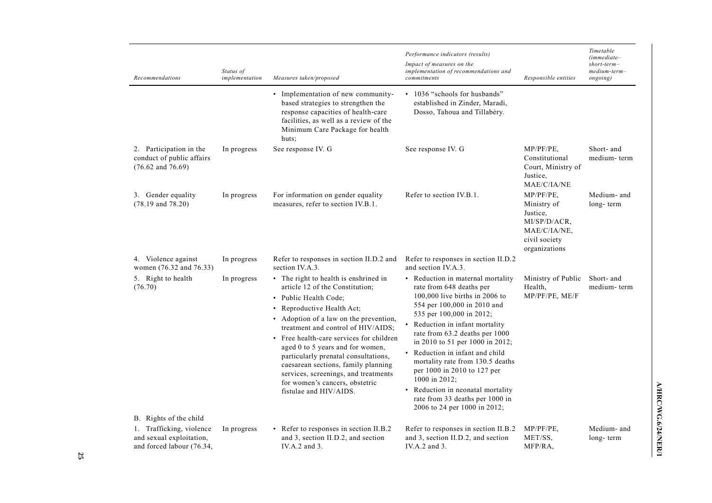| Recommendations                                                                   | Status of<br>implementation | Measures taken/proposed                                                                                                                                                                                                                                                                                                                                                                                                                                                            | Performance indicators (results)<br>Impact of measures on the<br>implementation of recommendations and<br>commitments                                                                                                                                                                                                                                                                                                                                                                         | Responsible entities                                                                                      | Timetable<br>$(immediate-$<br>$short-term-$<br>medium-term-<br>ongoing) |
|-----------------------------------------------------------------------------------|-----------------------------|------------------------------------------------------------------------------------------------------------------------------------------------------------------------------------------------------------------------------------------------------------------------------------------------------------------------------------------------------------------------------------------------------------------------------------------------------------------------------------|-----------------------------------------------------------------------------------------------------------------------------------------------------------------------------------------------------------------------------------------------------------------------------------------------------------------------------------------------------------------------------------------------------------------------------------------------------------------------------------------------|-----------------------------------------------------------------------------------------------------------|-------------------------------------------------------------------------|
|                                                                                   |                             | • Implementation of new community-<br>based strategies to strengthen the<br>response capacities of health-care<br>facilities, as well as a review of the<br>Minimum Care Package for health<br>huts;                                                                                                                                                                                                                                                                               | • 1036 "schools for husbands"<br>established in Zinder, Maradi,<br>Dosso, Tahoua and Tillabéry.                                                                                                                                                                                                                                                                                                                                                                                               |                                                                                                           |                                                                         |
| 2. Participation in the<br>conduct of public affairs<br>$(76.62$ and $76.69)$     | In progress                 | See response IV. G                                                                                                                                                                                                                                                                                                                                                                                                                                                                 | See response IV. G                                                                                                                                                                                                                                                                                                                                                                                                                                                                            | $MP/PF/PE$ .<br>Constitutional<br>Court, Ministry of<br>Justice,<br>MAE/C/IA/NE                           | Short- and<br>medium-term                                               |
| 3. Gender equality<br>$(78.19$ and $78.20)$                                       | In progress                 | For information on gender equality<br>measures, refer to section IV.B.1.                                                                                                                                                                                                                                                                                                                                                                                                           | Refer to section IV.B.1.                                                                                                                                                                                                                                                                                                                                                                                                                                                                      | $MP/PF/PE$ ,<br>Ministry of<br>Justice.<br>MI/SP/D/ACR.<br>MAE/C/IA/NE.<br>civil society<br>organizations | Medium- and<br>long-term                                                |
| 4. Violence against<br>women (76.32 and 76.33)                                    | In progress                 | Refer to responses in section II.D.2 and<br>section IV.A.3.                                                                                                                                                                                                                                                                                                                                                                                                                        | Refer to responses in section II.D.2<br>and section IV.A.3.                                                                                                                                                                                                                                                                                                                                                                                                                                   |                                                                                                           |                                                                         |
| 5. Right to health<br>(76.70)                                                     | In progress                 | • The right to health is enshrined in<br>article 12 of the Constitution;<br>• Public Health Code;<br>• Reproductive Health Act;<br>• Adoption of a law on the prevention,<br>treatment and control of HIV/AIDS;<br>• Free health-care services for children<br>aged 0 to 5 years and for women,<br>particularly prenatal consultations,<br>caesarean sections, family planning<br>services, screenings, and treatments<br>for women's cancers, obstetric<br>fistulae and HIV/AIDS. | • Reduction in maternal mortality<br>rate from 648 deaths per<br>100,000 live births in 2006 to<br>554 per 100,000 in 2010 and<br>535 per 100,000 in 2012;<br>Reduction in infant mortality<br>rate from 63.2 deaths per 1000<br>in 2010 to 51 per 1000 in 2012;<br>Reduction in infant and child<br>mortality rate from 130.5 deaths<br>per 1000 in 2010 to 127 per<br>1000 in 2012;<br>• Reduction in neonatal mortality<br>rate from 33 deaths per 1000 in<br>2006 to 24 per 1000 in 2012; | Ministry of Public<br>Health,<br>MP/PF/PE, ME/F                                                           | Short- and<br>medium-term                                               |
| B. Rights of the child                                                            |                             |                                                                                                                                                                                                                                                                                                                                                                                                                                                                                    |                                                                                                                                                                                                                                                                                                                                                                                                                                                                                               |                                                                                                           |                                                                         |
| 1. Trafficking, violence<br>and sexual exploitation,<br>and forced labour (76.34, | In progress                 | • Refer to responses in section II.B.2<br>and 3, section II.D.2, and section<br>IV.A.2 and 3.                                                                                                                                                                                                                                                                                                                                                                                      | Refer to responses in section II.B.2<br>and 3, section II.D.2, and section<br>IV.A.2 and 3.                                                                                                                                                                                                                                                                                                                                                                                                   | $MP/PF/PE$ ,<br>MET/SS,<br>MFP/RA,                                                                        | Medium- and<br>long-term                                                |

A/HRC/WG.6/24/NER/1 **A/HRC/WG.6/24/NER/1**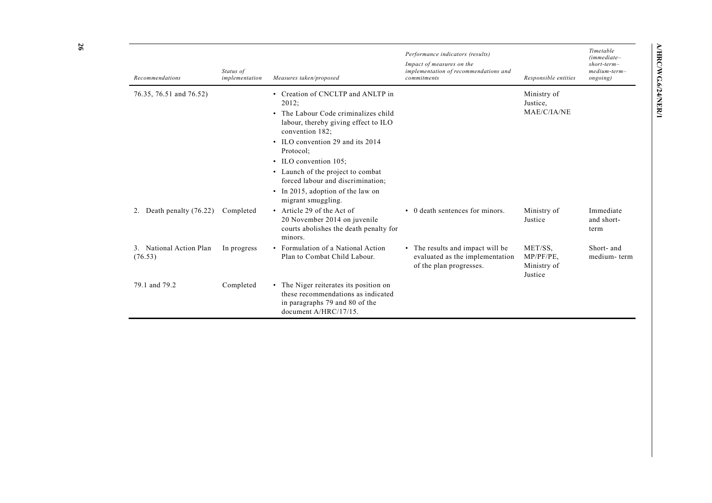| table         | <b>AHRC/WG.6/24/NER/</b> |  |
|---------------|--------------------------|--|
| ediate–       |                          |  |
| $t$ -term $-$ |                          |  |
| $um-term-$    |                          |  |
| ing)          |                          |  |
|               |                          |  |
|               |                          |  |
|               |                          |  |
|               |                          |  |
|               |                          |  |
|               |                          |  |
|               |                          |  |
|               |                          |  |

| Recommendations                    | Status of<br>implementation | Measures taken/proposed                                                                                                                                                                      | Performance indicators (results)<br>Impact of measures on the<br>implementation of recommendations and<br>commitments | Responsible entities                           | Timetable<br>$(immediate-$<br>$short-term-$<br>$medium-term-$<br>ongoing) |
|------------------------------------|-----------------------------|----------------------------------------------------------------------------------------------------------------------------------------------------------------------------------------------|-----------------------------------------------------------------------------------------------------------------------|------------------------------------------------|---------------------------------------------------------------------------|
| 76.35, 76.51 and 76.52)            |                             | Creation of CNCLTP and ANLTP in<br>$\bullet$<br>2012;<br>• The Labour Code criminalizes child<br>labour, thereby giving effect to ILO<br>convention 182;<br>• ILO convention 29 and its 2014 |                                                                                                                       | Ministry of<br>Justice,<br>MAE/C/IA/NE         |                                                                           |
|                                    |                             | Protocol:<br>• ILO convention 105;                                                                                                                                                           |                                                                                                                       |                                                |                                                                           |
|                                    |                             | • Launch of the project to combat<br>forced labour and discrimination:                                                                                                                       |                                                                                                                       |                                                |                                                                           |
|                                    |                             | • In 2015, adoption of the law on<br>migrant smuggling.                                                                                                                                      |                                                                                                                       |                                                |                                                                           |
| Death penalty (76.22)<br>2.        | Completed                   | • Article 29 of the Act of<br>20 November 2014 on juvenile<br>courts abolishes the death penalty for<br>minors.                                                                              | • 0 death sentences for minors.                                                                                       | Ministry of<br>Justice                         | Immediate<br>and short-<br>term                                           |
| 3. National Action Plan<br>(76.53) | In progress                 | • Formulation of a National Action<br>Plan to Combat Child Labour.                                                                                                                           | • The results and impact will be<br>evaluated as the implementation<br>of the plan progresses.                        | MET/SS,<br>MP/PF/PE,<br>Ministry of<br>Justice | Short- and<br>medium-term                                                 |
| 79.1 and 79.2                      | Completed                   | • The Niger reiterates its position on<br>these recommendations as indicated<br>in paragraphs 79 and 80 of the<br>document A/HRC/17/15.                                                      |                                                                                                                       |                                                |                                                                           |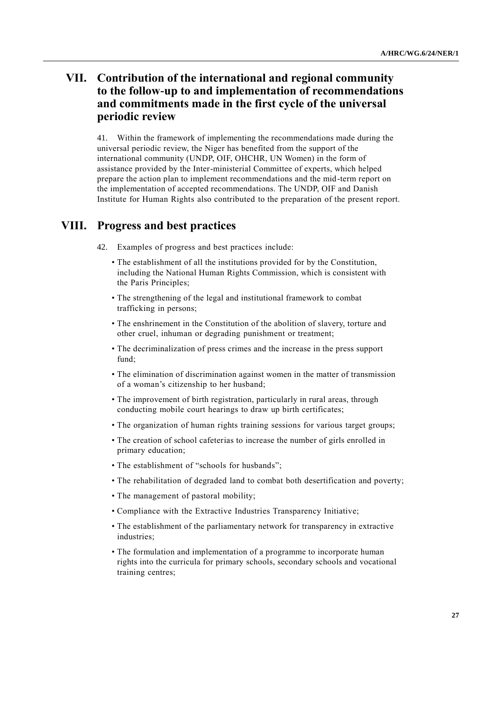## **VII. Contribution of the international and regional community to the follow-up to and implementation of recommendations and commitments made in the first cycle of the universal periodic review**

41. Within the framework of implementing the recommendations made during the universal periodic review, the Niger has benefited from the support of the international community (UNDP, OIF, OHCHR, UN Women) in the form of assistance provided by the Inter-ministerial Committee of experts, which helped prepare the action plan to implement recommendations and the mid-term report on the implementation of accepted recommendations. The UNDP, OIF and Danish Institute for Human Rights also contributed to the preparation of the present report.

#### **VIII. Progress and best practices**

- 42. Examples of progress and best practices include:
	- The establishment of all the institutions provided for by the Constitution, including the National Human Rights Commission, which is consistent with the Paris Principles;
	- The strengthening of the legal and institutional framework to combat trafficking in persons;
	- The enshrinement in the Constitution of the abolition of slavery, torture and other cruel, inhuman or degrading punishment or treatment;
	- The decriminalization of press crimes and the increase in the press support fund;
	- The elimination of discrimination against women in the matter of transmission of a woman's citizenship to her husband;
	- The improvement of birth registration, particularly in rural areas, through conducting mobile court hearings to draw up birth certificates;
	- The organization of human rights training sessions for various target groups;
	- The creation of school cafeterias to increase the number of girls enrolled in primary education;
	- The establishment of "schools for husbands";
	- The rehabilitation of degraded land to combat both desertification and poverty;
	- The management of pastoral mobility;
	- Compliance with the Extractive Industries Transparency Initiative;
	- The establishment of the parliamentary network for transparency in extractive industries;
	- The formulation and implementation of a programme to incorporate human rights into the curricula for primary schools, secondary schools and vocational training centres;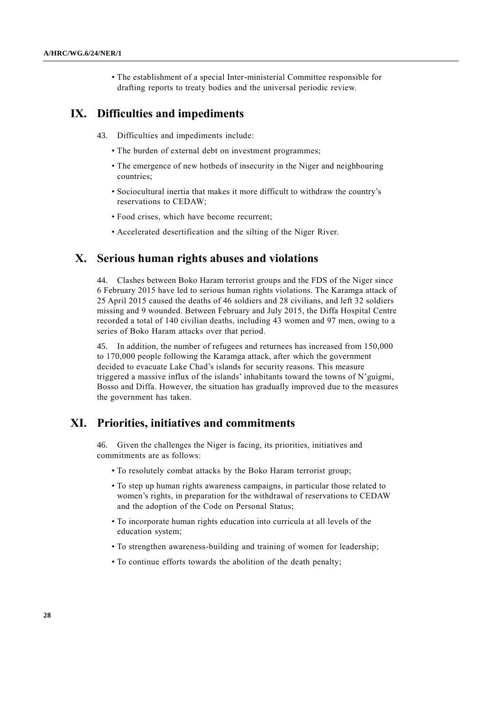• The establishment of a special Inter-ministerial Committee responsible for drafting reports to treaty bodies and the universal periodic review.

#### **IX. Difficulties and impediments**

- 43. Difficulties and impediments include:
	- The burden of external debt on investment programmes;
	- The emergence of new hotbeds of insecurity in the Niger and neighbouring countries;
	- Sociocultural inertia that makes it more difficult to withdraw the country's reservations to CEDAW;
	- Food crises, which have become recurrent;
	- Accelerated desertification and the silting of the Niger River.

#### **X. Serious human rights abuses and violations**

44. Clashes between Boko Haram terrorist groups and the FDS of the Niger since 6 February 2015 have led to serious human rights violations. The Karamga attack of 25 April 2015 caused the deaths of 46 soldiers and 28 civilians, and left 32 soldiers missing and 9 wounded. Between February and July 2015, the Diffa Hospital Centre recorded a total of 140 civilian deaths, including 43 women and 97 men, owing to a series of Boko Haram attacks over that period.

45. In addition, the number of refugees and returnees has increased from 150,000 to 170,000 people following the Karamga attack, after which the government decided to evacuate Lake Chad's islands for security reasons. This measure triggered a massive influx of the islands' inhabitants toward the towns of N'guigmi, Bosso and Diffa. However, the situation has gradually improved due to the measures the government has taken.

#### **XI. Priorities, initiatives and commitments**

46. Given the challenges the Niger is facing, its priorities, initiatives and commitments are as follows:

- To resolutely combat attacks by the Boko Haram terrorist group;
- To step up human rights awareness campaigns, in particular those related to women's rights, in preparation for the withdrawal of reservations to CEDAW and the adoption of the Code on Personal Status;
- To incorporate human rights education into curricula at all levels of the education system;
- To strengthen awareness-building and training of women for leadership;
- To continue efforts towards the abolition of the death penalty;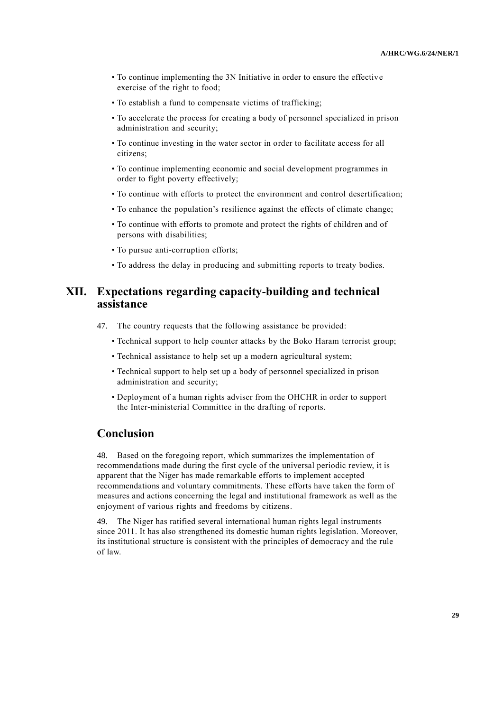- To continue implementing the 3N Initiative in order to ensure the effective exercise of the right to food;
- To establish a fund to compensate victims of trafficking;
- To accelerate the process for creating a body of personnel specialized in prison administration and security;
- To continue investing in the water sector in order to facilitate access for all citizens;
- To continue implementing economic and social development programmes in order to fight poverty effectively;
- To continue with efforts to protect the environment and control desertification;
- To enhance the population's resilience against the effects of climate change;
- To continue with efforts to promote and protect the rights of children and of persons with disabilities;
- To pursue anti-corruption efforts;
- To address the delay in producing and submitting reports to treaty bodies.

## **XII. Expectations regarding capacity-building and technical assistance**

- 47. The country requests that the following assistance be provided:
	- Technical support to help counter attacks by the Boko Haram terrorist group;
	- Technical assistance to help set up a modern agricultural system;
	- Technical support to help set up a body of personnel specialized in prison administration and security;
	- Deployment of a human rights adviser from the OHCHR in order to support the Inter-ministerial Committee in the drafting of reports.

### **Conclusion**

48. Based on the foregoing report, which summarizes the implementation of recommendations made during the first cycle of the universal periodic review, it is apparent that the Niger has made remarkable efforts to implement accepted recommendations and voluntary commitments. These efforts have taken the form of measures and actions concerning the legal and institutional framework as well as the enjoyment of various rights and freedoms by citizens.

49. The Niger has ratified several international human rights legal instruments since 2011. It has also strengthened its domestic human rights legislation. Moreover, its institutional structure is consistent with the principles of democracy and the rule of law.